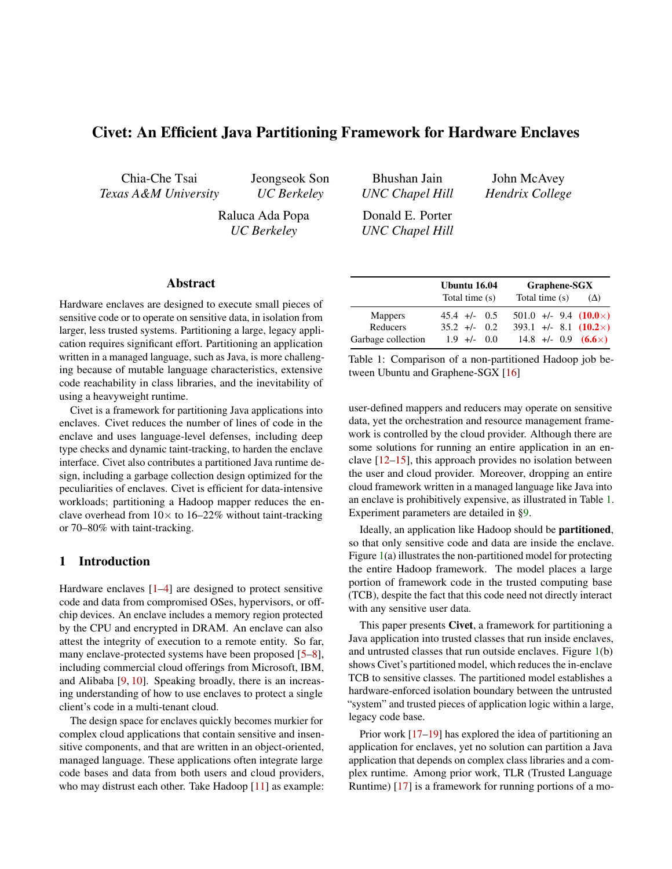# Civet: An Efficient Java Partitioning Framework for Hardware Enclaves

Chia-Che Tsai *Texas A&M University* Jeongseok Son *UC Berkeley*

Raluca Ada Popa *UC Berkeley*

Bhushan Jain *UNC Chapel Hill*

John McAvey *Hendrix College*

Donald E. Porter *UNC Chapel Hill*

#### Abstract

Hardware enclaves are designed to execute small pieces of sensitive code or to operate on sensitive data, in isolation from larger, less trusted systems. Partitioning a large, legacy application requires significant effort. Partitioning an application written in a managed language, such as Java, is more challenging because of mutable language characteristics, extensive code reachability in class libraries, and the inevitability of using a heavyweight runtime.

Civet is a framework for partitioning Java applications into enclaves. Civet reduces the number of lines of code in the enclave and uses language-level defenses, including deep type checks and dynamic taint-tracking, to harden the enclave interface. Civet also contributes a partitioned Java runtime design, including a garbage collection design optimized for the peculiarities of enclaves. Civet is efficient for data-intensive workloads; partitioning a Hadoop mapper reduces the enclave overhead from  $10 \times$  to  $16-22\%$  without taint-tracking or 70–80% with taint-tracking.

## 1 Introduction

Hardware enclaves [\[1–](#page-14-0)[4\]](#page-15-0) are designed to protect sensitive code and data from compromised OSes, hypervisors, or offchip devices. An enclave includes a memory region protected by the CPU and encrypted in DRAM. An enclave can also attest the integrity of execution to a remote entity. So far, many enclave-protected systems have been proposed [\[5](#page-15-1)[–8\]](#page-15-2), including commercial cloud offerings from Microsoft, IBM, and Alibaba [\[9,](#page-15-3) [10\]](#page-15-4). Speaking broadly, there is an increasing understanding of how to use enclaves to protect a single client's code in a multi-tenant cloud.

The design space for enclaves quickly becomes murkier for complex cloud applications that contain sensitive and insensitive components, and that are written in an object-oriented, managed language. These applications often integrate large code bases and data from both users and cloud providers, who may distrust each other. Take Hadoop [\[11\]](#page-15-5) as example:

|                    | Ubuntu 16.04    | Graphene-SGX                  |            |  |  |  |
|--------------------|-----------------|-------------------------------|------------|--|--|--|
|                    | Total time (s)  | Total time (s)                | $(\Delta)$ |  |  |  |
| <b>Mappers</b>     | $45.4$ +/- 0.5  | $501.0 +/- 9.4 (10.0 \times)$ |            |  |  |  |
| Reducers           | $35.2 +1 - 0.2$ | $393.1 +/- 8.1 (10.2 \times)$ |            |  |  |  |
| Garbage collection | $1.9$ +/- 0.0   | 14.8 +/- 0.9 $(6.6\times)$    |            |  |  |  |

<span id="page-0-0"></span>Table 1: Comparison of a non-partitioned Hadoop job between Ubuntu and Graphene-SGX [\[16\]](#page-15-6)

user-defined mappers and reducers may operate on sensitive data, yet the orchestration and resource management framework is controlled by the cloud provider. Although there are some solutions for running an entire application in an enclave [\[12](#page-15-7)[–15\]](#page-15-8), this approach provides no isolation between the user and cloud provider. Moreover, dropping an entire cloud framework written in a managed language like Java into an enclave is prohibitively expensive, as illustrated in Table [1.](#page-0-0) Experiment parameters are detailed in [§9.](#page-11-0)

Ideally, an application like Hadoop should be partitioned, so that only sensitive code and data are inside the enclave. Figure [1\(](#page-1-0)a) illustrates the non-partitioned model for protecting the entire Hadoop framework. The model places a large portion of framework code in the trusted computing base (TCB), despite the fact that this code need not directly interact with any sensitive user data.

This paper presents Civet, a framework for partitioning a Java application into trusted classes that run inside enclaves, and untrusted classes that run outside enclaves. Figure [1\(](#page-1-0)b) shows Civet's partitioned model, which reduces the in-enclave TCB to sensitive classes. The partitioned model establishes a hardware-enforced isolation boundary between the untrusted "system" and trusted pieces of application logic within a large, legacy code base.

Prior work [\[17](#page-15-9)[–19\]](#page-15-10) has explored the idea of partitioning an application for enclaves, yet no solution can partition a Java application that depends on complex class libraries and a complex runtime. Among prior work, TLR (Trusted Language Runtime) [\[17\]](#page-15-9) is a framework for running portions of a mo-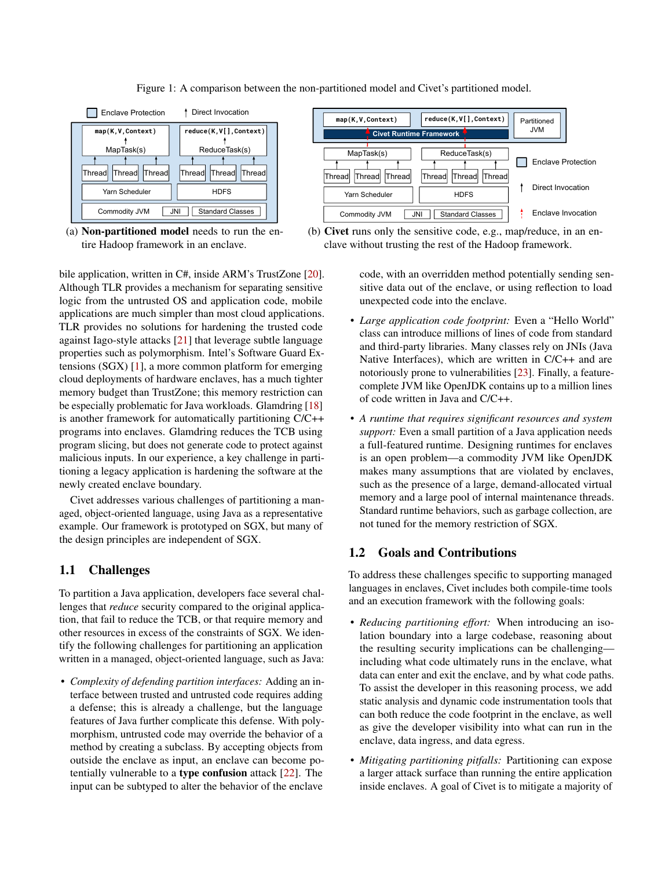

Figure 1: A comparison between the non-partitioned model and Civet's partitioned model.

(a) Non-partitioned model needs to run the entire Hadoop framework in an enclave.

bile application, written in C#, inside ARM's TrustZone [\[20\]](#page-15-11). Although TLR provides a mechanism for separating sensitive logic from the untrusted OS and application code, mobile applications are much simpler than most cloud applications. TLR provides no solutions for hardening the trusted code against Iago-style attacks [\[21\]](#page-15-12) that leverage subtle language properties such as polymorphism. Intel's Software Guard Extensions (SGX) [\[1\]](#page-14-0), a more common platform for emerging cloud deployments of hardware enclaves, has a much tighter memory budget than TrustZone; this memory restriction can be especially problematic for Java workloads. Glamdring [\[18\]](#page-15-13) is another framework for automatically partitioning C/C++ programs into enclaves. Glamdring reduces the TCB using program slicing, but does not generate code to protect against malicious inputs. In our experience, a key challenge in partitioning a legacy application is hardening the software at the newly created enclave boundary.

Civet addresses various challenges of partitioning a managed, object-oriented language, using Java as a representative example. Our framework is prototyped on SGX, but many of the design principles are independent of SGX.

## 1.1 Challenges

To partition a Java application, developers face several challenges that *reduce* security compared to the original application, that fail to reduce the TCB, or that require memory and other resources in excess of the constraints of SGX. We identify the following challenges for partitioning an application written in a managed, object-oriented language, such as Java:

• *Complexity of defending partition interfaces:* Adding an interface between trusted and untrusted code requires adding a defense; this is already a challenge, but the language features of Java further complicate this defense. With polymorphism, untrusted code may override the behavior of a method by creating a subclass. By accepting objects from outside the enclave as input, an enclave can become potentially vulnerable to a type confusion attack [\[22\]](#page-15-14). The input can be subtyped to alter the behavior of the enclave



<span id="page-1-0"></span>(b) Civet runs only the sensitive code, e.g., map/reduce, in an enclave without trusting the rest of the Hadoop framework.

code, with an overridden method potentially sending sensitive data out of the enclave, or using reflection to load unexpected code into the enclave.

- *Large application code footprint:* Even a "Hello World" class can introduce millions of lines of code from standard and third-party libraries. Many classes rely on JNIs (Java Native Interfaces), which are written in C/C++ and are notoriously prone to vulnerabilities [\[23\]](#page-15-15). Finally, a featurecomplete JVM like OpenJDK contains up to a million lines of code written in Java and C/C++.
- *A runtime that requires significant resources and system support:* Even a small partition of a Java application needs a full-featured runtime. Designing runtimes for enclaves is an open problem—a commodity JVM like OpenJDK makes many assumptions that are violated by enclaves, such as the presence of a large, demand-allocated virtual memory and a large pool of internal maintenance threads. Standard runtime behaviors, such as garbage collection, are not tuned for the memory restriction of SGX.

## 1.2 Goals and Contributions

To address these challenges specific to supporting managed languages in enclaves, Civet includes both compile-time tools and an execution framework with the following goals:

- *Reducing partitioning effort:* When introducing an isolation boundary into a large codebase, reasoning about the resulting security implications can be challenging including what code ultimately runs in the enclave, what data can enter and exit the enclave, and by what code paths. To assist the developer in this reasoning process, we add static analysis and dynamic code instrumentation tools that can both reduce the code footprint in the enclave, as well as give the developer visibility into what can run in the enclave, data ingress, and data egress.
- *Mitigating partitioning pitfalls:* Partitioning can expose a larger attack surface than running the entire application inside enclaves. A goal of Civet is to mitigate a majority of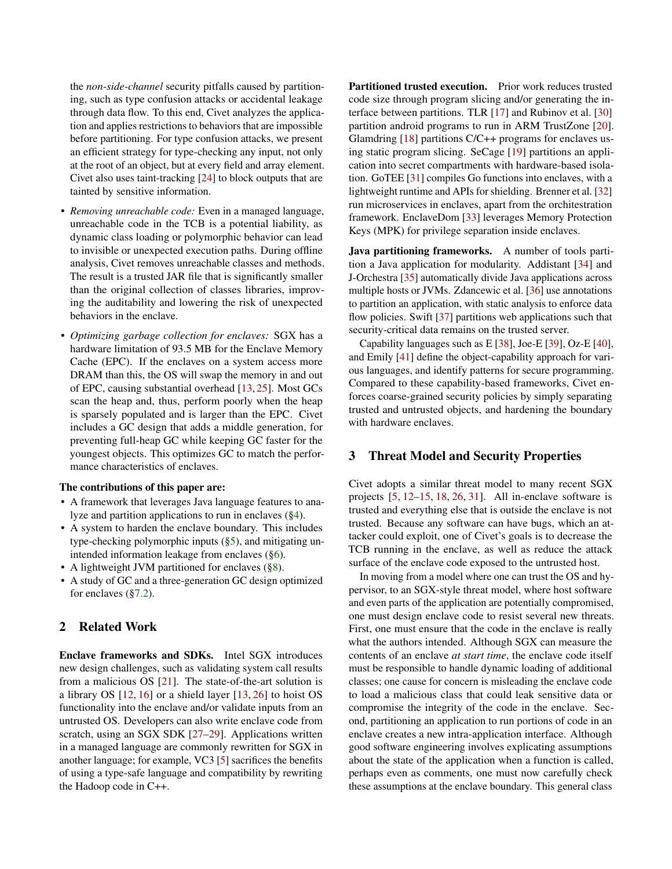the *non-side-channel* security pitfalls caused by partitioning, such as type confusion attacks or accidental leakage through data flow. To this end, Civet analyzes the application and applies restrictions to behaviors that are impossible before partitioning. For type confusion attacks, we present an efficient strategy for type-checking any input, not only at the root of an object, but at every field and array element. Civet also uses taint-tracking [\[24\]](#page-15-16) to block outputs that are tainted by sensitive information.

- *Removing unreachable code:* Even in a managed language, unreachable code in the TCB is a potential liability, as dynamic class loading or polymorphic behavior can lead to invisible or unexpected execution paths. During offline analysis, Civet removes unreachable classes and methods. The result is a trusted JAR file that is significantly smaller than the original collection of classes libraries, improving the auditability and lowering the risk of unexpected behaviors in the enclave.
- *Optimizing garbage collection for enclaves:* SGX has a hardware limitation of 93.5 MB for the Enclave Memory Cache (EPC). If the enclaves on a system access more DRAM than this, the OS will swap the memory in and out of EPC, causing substantial overhead [\[13,](#page-15-17) [25\]](#page-15-18). Most GCs scan the heap and, thus, perform poorly when the heap is sparsely populated and is larger than the EPC. Civet includes a GC design that adds a middle generation, for preventing full-heap GC while keeping GC faster for the youngest objects. This optimizes GC to match the performance characteristics of enclaves.

#### The contributions of this paper are:

- A framework that leverages Java language features to analyze and partition applications to run in enclaves ([§4\)](#page-3-0).
- A system to harden the enclave boundary. This includes type-checking polymorphic inputs ([§5\)](#page-6-0), and mitigating unintended information leakage from enclaves ([§6\)](#page-8-0).
- A lightweight JVM partitioned for enclaves ([§8\)](#page-10-0).
- A study of GC and a three-generation GC design optimized for enclaves ([§7.2\)](#page-9-0).

## 2 Related Work

Enclave frameworks and SDKs. Intel SGX introduces new design challenges, such as validating system call results from a malicious OS  $[21]$ . The state-of-the-art solution is a library OS [\[12,](#page-15-7) [16\]](#page-15-6) or a shield layer [\[13,](#page-15-17) [26\]](#page-15-19) to hoist OS functionality into the enclave and/or validate inputs from an untrusted OS. Developers can also write enclave code from scratch, using an SGX SDK [\[27](#page-15-20)[–29\]](#page-15-21). Applications written in a managed language are commonly rewritten for SGX in another language; for example, VC3 [\[5\]](#page-15-1) sacrifices the benefits of using a type-safe language and compatibility by rewriting the Hadoop code in C++.

Partitioned trusted execution. Prior work reduces trusted code size through program slicing and/or generating the interface between partitions. TLR [\[17\]](#page-15-9) and Rubinov et al. [\[30\]](#page-15-22) partition android programs to run in ARM TrustZone [\[20\]](#page-15-11). Glamdring [\[18\]](#page-15-13) partitions C/C++ programs for enclaves using static program slicing. SeCage [\[19\]](#page-15-10) partitions an application into secret compartments with hardware-based isolation. GoTEE [\[31\]](#page-16-0) compiles Go functions into enclaves, with a lightweight runtime and APIs for shielding. Brenner et al. [\[32\]](#page-16-1) run microservices in enclaves, apart from the orchitestration framework. EnclaveDom [\[33\]](#page-16-2) leverages Memory Protection Keys (MPK) for privilege separation inside enclaves.

Java partitioning frameworks. A number of tools partition a Java application for modularity. Addistant [\[34\]](#page-16-3) and J-Orchestra [\[35\]](#page-16-4) automatically divide Java applications across multiple hosts or JVMs. Zdancewic et al. [\[36\]](#page-16-5) use annotations to partition an application, with static analysis to enforce data flow policies. Swift [\[37\]](#page-16-6) partitions web applications such that security-critical data remains on the trusted server.

Capability languages such as E [\[38\]](#page-16-7), Joe-E [\[39\]](#page-16-8), Oz-E [\[40\]](#page-16-9), and Emily [\[41\]](#page-16-10) define the object-capability approach for various languages, and identify patterns for secure programming. Compared to these capability-based frameworks, Civet enforces coarse-grained security policies by simply separating trusted and untrusted objects, and hardening the boundary with hardware enclaves.

#### 3 Threat Model and Security Properties

Civet adopts a similar threat model to many recent SGX projects [\[5,](#page-15-1) [12](#page-15-7)[–15,](#page-15-8) [18,](#page-15-13) [26,](#page-15-19) [31\]](#page-16-0). All in-enclave software is trusted and everything else that is outside the enclave is not trusted. Because any software can have bugs, which an attacker could exploit, one of Civet's goals is to decrease the TCB running in the enclave, as well as reduce the attack surface of the enclave code exposed to the untrusted host.

In moving from a model where one can trust the OS and hypervisor, to an SGX-style threat model, where host software and even parts of the application are potentially compromised, one must design enclave code to resist several new threats. First, one must ensure that the code in the enclave is really what the authors intended. Although SGX can measure the contents of an enclave *at start time*, the enclave code itself must be responsible to handle dynamic loading of additional classes; one cause for concern is misleading the enclave code to load a malicious class that could leak sensitive data or compromise the integrity of the code in the enclave. Second, partitioning an application to run portions of code in an enclave creates a new intra-application interface. Although good software engineering involves explicating assumptions about the state of the application when a function is called, perhaps even as comments, one must now carefully check these assumptions at the enclave boundary. This general class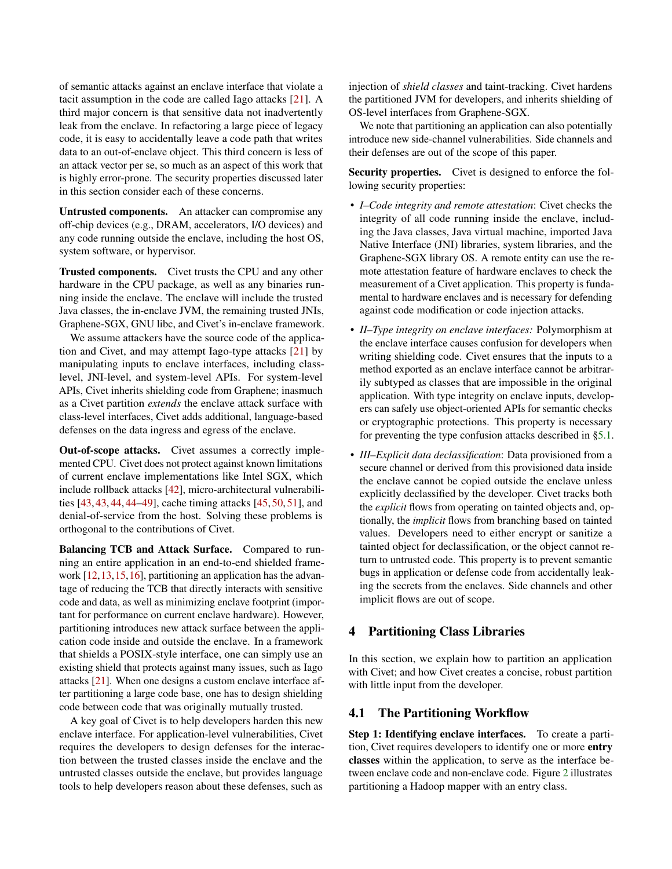of semantic attacks against an enclave interface that violate a tacit assumption in the code are called Iago attacks [\[21\]](#page-15-12). A third major concern is that sensitive data not inadvertently leak from the enclave. In refactoring a large piece of legacy code, it is easy to accidentally leave a code path that writes data to an out-of-enclave object. This third concern is less of an attack vector per se, so much as an aspect of this work that is highly error-prone. The security properties discussed later in this section consider each of these concerns.

Untrusted components. An attacker can compromise any off-chip devices (e.g., DRAM, accelerators, I/O devices) and any code running outside the enclave, including the host OS, system software, or hypervisor.

Trusted components. Civet trusts the CPU and any other hardware in the CPU package, as well as any binaries running inside the enclave. The enclave will include the trusted Java classes, the in-enclave JVM, the remaining trusted JNIs, Graphene-SGX, GNU libc, and Civet's in-enclave framework.

We assume attackers have the source code of the application and Civet, and may attempt Iago-type attacks [\[21\]](#page-15-12) by manipulating inputs to enclave interfaces, including classlevel, JNI-level, and system-level APIs. For system-level APIs, Civet inherits shielding code from Graphene; inasmuch as a Civet partition *extends* the enclave attack surface with class-level interfaces, Civet adds additional, language-based defenses on the data ingress and egress of the enclave.

Out-of-scope attacks. Civet assumes a correctly implemented CPU. Civet does not protect against known limitations of current enclave implementations like Intel SGX, which include rollback attacks [\[42\]](#page-16-11), micro-architectural vulnerabilities [\[43,](#page-16-12) [43,](#page-16-12) [44,](#page-16-13) [44](#page-16-13)[–49\]](#page-16-14), cache timing attacks [\[45,](#page-16-15) [50,](#page-16-16) [51\]](#page-16-17), and denial-of-service from the host. Solving these problems is orthogonal to the contributions of Civet.

Balancing TCB and Attack Surface. Compared to running an entire application in an end-to-end shielded framework [\[12,](#page-15-7)[13,](#page-15-17)[15,](#page-15-8)[16\]](#page-15-6), partitioning an application has the advantage of reducing the TCB that directly interacts with sensitive code and data, as well as minimizing enclave footprint (important for performance on current enclave hardware). However, partitioning introduces new attack surface between the application code inside and outside the enclave. In a framework that shields a POSIX-style interface, one can simply use an existing shield that protects against many issues, such as Iago attacks [\[21\]](#page-15-12). When one designs a custom enclave interface after partitioning a large code base, one has to design shielding code between code that was originally mutually trusted.

A key goal of Civet is to help developers harden this new enclave interface. For application-level vulnerabilities, Civet requires the developers to design defenses for the interaction between the trusted classes inside the enclave and the untrusted classes outside the enclave, but provides language tools to help developers reason about these defenses, such as

injection of *shield classes* and taint-tracking. Civet hardens the partitioned JVM for developers, and inherits shielding of OS-level interfaces from Graphene-SGX.

We note that partitioning an application can also potentially introduce new side-channel vulnerabilities. Side channels and their defenses are out of the scope of this paper.

Security properties. Civet is designed to enforce the following security properties:

- *I–Code integrity and remote attestation*: Civet checks the integrity of all code running inside the enclave, including the Java classes, Java virtual machine, imported Java Native Interface (JNI) libraries, system libraries, and the Graphene-SGX library OS. A remote entity can use the remote attestation feature of hardware enclaves to check the measurement of a Civet application. This property is fundamental to hardware enclaves and is necessary for defending against code modification or code injection attacks.
- *II–Type integrity on enclave interfaces:* Polymorphism at the enclave interface causes confusion for developers when writing shielding code. Civet ensures that the inputs to a method exported as an enclave interface cannot be arbitrarily subtyped as classes that are impossible in the original application. With type integrity on enclave inputs, developers can safely use object-oriented APIs for semantic checks or cryptographic protections. This property is necessary for preventing the type confusion attacks described in [§5.1.](#page-6-1)
- *III–Explicit data declassification*: Data provisioned from a secure channel or derived from this provisioned data inside the enclave cannot be copied outside the enclave unless explicitly declassified by the developer. Civet tracks both the *explicit* flows from operating on tainted objects and, optionally, the *implicit* flows from branching based on tainted values. Developers need to either encrypt or sanitize a tainted object for declassification, or the object cannot return to untrusted code. This property is to prevent semantic bugs in application or defense code from accidentally leaking the secrets from the enclaves. Side channels and other implicit flows are out of scope.

## <span id="page-3-0"></span>4 Partitioning Class Libraries

In this section, we explain how to partition an application with Civet; and how Civet creates a concise, robust partition with little input from the developer.

## <span id="page-3-1"></span>4.1 The Partitioning Workflow

Step 1: Identifying enclave interfaces. To create a partition, Civet requires developers to identify one or more entry classes within the application, to serve as the interface between enclave code and non-enclave code. Figure [2](#page-4-0) illustrates partitioning a Hadoop mapper with an entry class.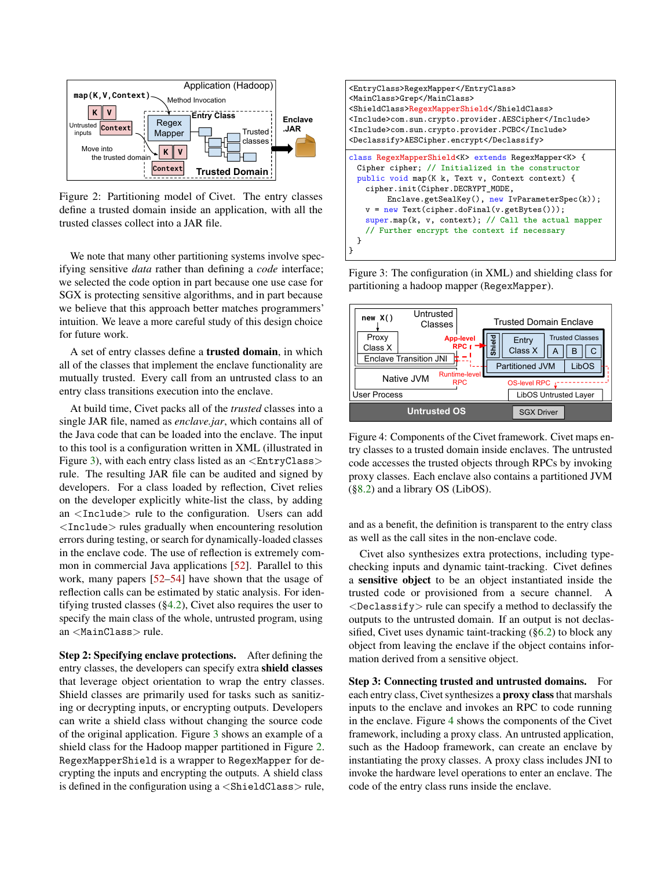

<span id="page-4-0"></span>Figure 2: Partitioning model of Civet. The entry classes define a trusted domain inside an application, with all the trusted classes collect into a JAR file.

We note that many other partitioning systems involve specifying sensitive *data* rather than defining a *code* interface; we selected the code option in part because one use case for SGX is protecting sensitive algorithms, and in part because we believe that this approach better matches programmers' intuition. We leave a more careful study of this design choice for future work.

A set of entry classes define a trusted domain, in which all of the classes that implement the enclave functionality are mutually trusted. Every call from an untrusted class to an entry class transitions execution into the enclave.

At build time, Civet packs all of the *trusted* classes into a single JAR file, named as *enclave.jar*, which contains all of the Java code that can be loaded into the enclave. The input to this tool is a configuration written in XML (illustrated in Figure [3\)](#page-4-1), with each entry class listed as an  $\langle EntryClass \rangle$ rule. The resulting JAR file can be audited and signed by developers. For a class loaded by reflection, Civet relies on the developer explicitly white-list the class, by adding an <Include> rule to the configuration. Users can add <Include> rules gradually when encountering resolution errors during testing, or search for dynamically-loaded classes in the enclave code. The use of reflection is extremely common in commercial Java applications [\[52\]](#page-16-18). Parallel to this work, many papers [\[52](#page-16-18)[–54\]](#page-16-19) have shown that the usage of reflection calls can be estimated by static analysis. For identifying trusted classes ([§4.2\)](#page-5-0), Civet also requires the user to specify the main class of the whole, untrusted program, using an <MainClass> rule.

Step 2: Specifying enclave protections. After defining the entry classes, the developers can specify extra shield classes that leverage object orientation to wrap the entry classes. Shield classes are primarily used for tasks such as sanitizing or decrypting inputs, or encrypting outputs. Developers can write a shield class without changing the source code of the original application. Figure [3](#page-4-1) shows an example of a shield class for the Hadoop mapper partitioned in Figure [2.](#page-4-0) RegexMapperShield is a wrapper to RegexMapper for decrypting the inputs and encrypting the outputs. A shield class is defined in the configuration using  $a \leq ShieldClass$  rule,



<span id="page-4-1"></span>Figure 3: The configuration (in XML) and shielding class for partitioning a hadoop mapper (RegexMapper).



<span id="page-4-2"></span>Figure 4: Components of the Civet framework. Civet maps entry classes to a trusted domain inside enclaves. The untrusted code accesses the trusted objects through RPCs by invoking proxy classes. Each enclave also contains a partitioned JVM ([§8.2\)](#page-10-1) and a library OS (LibOS).

and as a benefit, the definition is transparent to the entry class as well as the call sites in the non-enclave code.

Civet also synthesizes extra protections, including typechecking inputs and dynamic taint-tracking. Civet defines a sensitive object to be an object instantiated inside the trusted code or provisioned from a secure channel. A  $\langle$ Declassify $>$  rule can specify a method to declassify the outputs to the untrusted domain. If an output is not declassified, Civet uses dynamic taint-tracking ([§6.2\)](#page-8-1) to block any object from leaving the enclave if the object contains information derived from a sensitive object.

Step 3: Connecting trusted and untrusted domains. For each entry class, Civet synthesizes a **proxy class** that marshals inputs to the enclave and invokes an RPC to code running in the enclave. Figure [4](#page-4-2) shows the components of the Civet framework, including a proxy class. An untrusted application, such as the Hadoop framework, can create an enclave by instantiating the proxy classes. A proxy class includes JNI to invoke the hardware level operations to enter an enclave. The code of the entry class runs inside the enclave.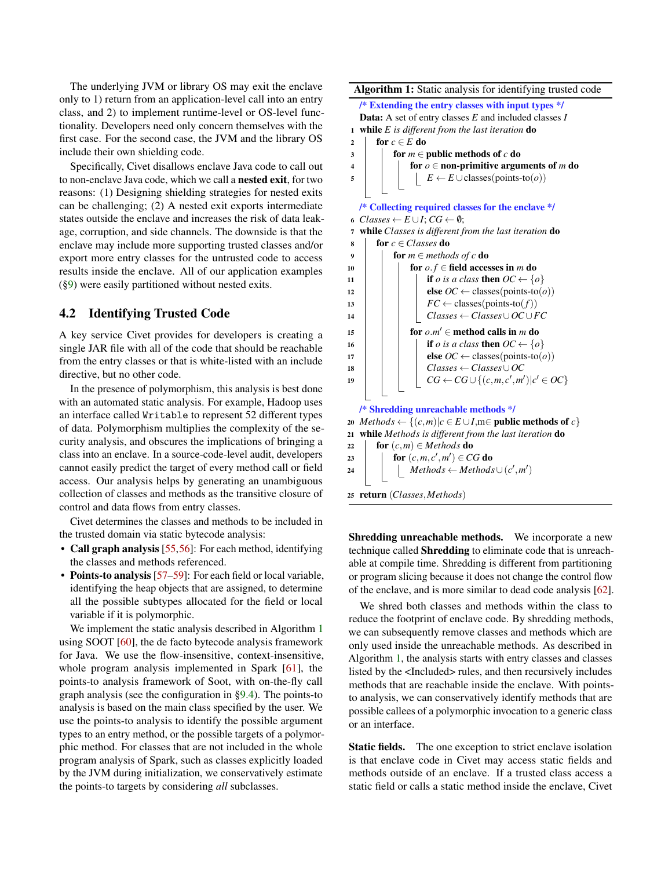The underlying JVM or library OS may exit the enclave only to 1) return from an application-level call into an entry class, and 2) to implement runtime-level or OS-level functionality. Developers need only concern themselves with the first case. For the second case, the JVM and the library OS include their own shielding code.

Specifically, Civet disallows enclave Java code to call out to non-enclave Java code, which we call a nested exit, for two reasons: (1) Designing shielding strategies for nested exits can be challenging; (2) A nested exit exports intermediate states outside the enclave and increases the risk of data leakage, corruption, and side channels. The downside is that the enclave may include more supporting trusted classes and/or export more entry classes for the untrusted code to access results inside the enclave. All of our application examples ([§9\)](#page-11-0) were easily partitioned without nested exits.

## <span id="page-5-0"></span>4.2 Identifying Trusted Code

A key service Civet provides for developers is creating a single JAR file with all of the code that should be reachable from the entry classes or that is white-listed with an include directive, but no other code.

In the presence of polymorphism, this analysis is best done with an automated static analysis. For example, Hadoop uses an interface called Writable to represent 52 different types of data. Polymorphism multiplies the complexity of the security analysis, and obscures the implications of bringing a class into an enclave. In a source-code-level audit, developers cannot easily predict the target of every method call or field access. Our analysis helps by generating an unambiguous collection of classes and methods as the transitive closure of control and data flows from entry classes.

Civet determines the classes and methods to be included in the trusted domain via static bytecode analysis:

- Call graph analysis [\[55,](#page-17-0)[56\]](#page-17-1): For each method, identifying the classes and methods referenced.
- Points-to analysis [\[57–](#page-17-2)[59\]](#page-17-3): For each field or local variable, identifying the heap objects that are assigned, to determine all the possible subtypes allocated for the field or local variable if it is polymorphic.

We implement the static analysis described in Algorithm [1](#page-5-1) using SOOT [\[60\]](#page-17-4), the de facto bytecode analysis framework for Java. We use the flow-insensitive, context-insensitive, whole program analysis implemented in Spark [\[61\]](#page-17-5), the points-to analysis framework of Soot, with on-the-fly call graph analysis (see the configuration in [§9.4\)](#page-13-0). The points-to analysis is based on the main class specified by the user. We use the points-to analysis to identify the possible argument types to an entry method, or the possible targets of a polymorphic method. For classes that are not included in the whole program analysis of Spark, such as classes explicitly loaded by the JVM during initialization, we conservatively estimate the points-to targets by considering *all* subclasses.

Algorithm 1: Static analysis for identifying trusted code

| /* Extending the entry classes with input types */                                              |  |  |  |  |  |  |  |
|-------------------------------------------------------------------------------------------------|--|--|--|--|--|--|--|
| <b>Data:</b> A set of entry classes $E$ and included classes $I$                                |  |  |  |  |  |  |  |
| while $E$ is different from the last iteration $\bf{do}$<br>1                                   |  |  |  |  |  |  |  |
| for $c \in E$ do                                                                                |  |  |  |  |  |  |  |
| for $m \in$ public methods of c do<br>3                                                         |  |  |  |  |  |  |  |
| for $o \in$ non-primitive arguments of m do<br>4                                                |  |  |  |  |  |  |  |
| $E \leftarrow E \cup \text{classes}(\text{points-to}(o))$<br>5                                  |  |  |  |  |  |  |  |
|                                                                                                 |  |  |  |  |  |  |  |
| /* Collecting required classes for the enclave */                                               |  |  |  |  |  |  |  |
| 6 Classes $\leftarrow E \cup I$ ; $CG \leftarrow \emptyset$ ;                                   |  |  |  |  |  |  |  |
| while Classes is different from the last iteration do<br>7                                      |  |  |  |  |  |  |  |
| for $c \in Classes$ do<br>8                                                                     |  |  |  |  |  |  |  |
| for $m \in$ methods of c do<br>9                                                                |  |  |  |  |  |  |  |
| for $o.f \in$ field accesses in <i>m</i> do<br>10                                               |  |  |  |  |  |  |  |
| <b>if</b> <i>o</i> is a class <b>then</b> $OC \leftarrow \{o\}$<br>11                           |  |  |  |  |  |  |  |
| <b>else</b> <i>OC</i> ← classes(points-to( <i>o</i> ))<br>12                                    |  |  |  |  |  |  |  |
| $FC \leftarrow$ classes(points-to(f))<br>13                                                     |  |  |  |  |  |  |  |
| $Classes \leftarrow Classes \cup OC \cup FC$<br>14                                              |  |  |  |  |  |  |  |
| for $o.m' \in$ method calls in m do<br>15                                                       |  |  |  |  |  |  |  |
| <b>if</b> <i>o</i> is a class <b>then</b> $OC \leftarrow \{o\}$<br>16                           |  |  |  |  |  |  |  |
| <b>else</b> <i>OC</i> ← classes(points-to( <i>o</i> ))<br>17                                    |  |  |  |  |  |  |  |
| $Classes \leftarrow Classes \cup OC$<br>18                                                      |  |  |  |  |  |  |  |
| $CG \leftarrow CG \cup \{(c,m,c',m') c' \in OC\}$<br>19                                         |  |  |  |  |  |  |  |
|                                                                                                 |  |  |  |  |  |  |  |
| /* Shredding unreachable methods */                                                             |  |  |  |  |  |  |  |
| <i>Methods</i> $\leftarrow \{(c,m)   c \in E \cup I, m \in \text{public methods of } c\}$<br>20 |  |  |  |  |  |  |  |
| while Methods is different from the last iteration do<br>21                                     |  |  |  |  |  |  |  |
| for $(c,m) \in Methods$ do<br>22                                                                |  |  |  |  |  |  |  |
| for $(c, m, c', m') \in CG$ do<br>23                                                            |  |  |  |  |  |  |  |
| $Methods \leftarrow Methods \cup (c', m')$<br>24                                                |  |  |  |  |  |  |  |
|                                                                                                 |  |  |  |  |  |  |  |
| 25 return (Classes, Methods)                                                                    |  |  |  |  |  |  |  |

<span id="page-5-1"></span>Shredding unreachable methods. We incorporate a new technique called Shredding to eliminate code that is unreachable at compile time. Shredding is different from partitioning or program slicing because it does not change the control flow of the enclave, and is more similar to dead code analysis [\[62\]](#page-17-6).

We shred both classes and methods within the class to reduce the footprint of enclave code. By shredding methods, we can subsequently remove classes and methods which are only used inside the unreachable methods. As described in Algorithm [1,](#page-5-1) the analysis starts with entry classes and classes listed by the <Included> rules, and then recursively includes methods that are reachable inside the enclave. With pointsto analysis, we can conservatively identify methods that are possible callees of a polymorphic invocation to a generic class or an interface.

Static fields. The one exception to strict enclave isolation is that enclave code in Civet may access static fields and methods outside of an enclave. If a trusted class access a static field or calls a static method inside the enclave, Civet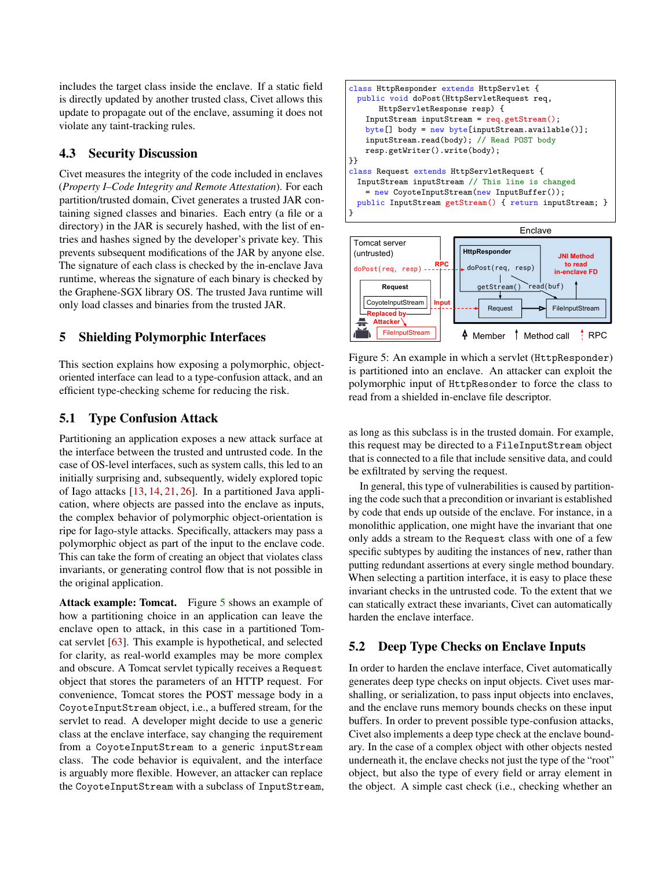includes the target class inside the enclave. If a static field is directly updated by another trusted class, Civet allows this update to propagate out of the enclave, assuming it does not violate any taint-tracking rules.

## 4.3 Security Discussion

Civet measures the integrity of the code included in enclaves (*Property I–Code Integrity and Remote Attestation*). For each partition/trusted domain, Civet generates a trusted JAR containing signed classes and binaries. Each entry (a file or a directory) in the JAR is securely hashed, with the list of entries and hashes signed by the developer's private key. This prevents subsequent modifications of the JAR by anyone else. The signature of each class is checked by the in-enclave Java runtime, whereas the signature of each binary is checked by the Graphene-SGX library OS. The trusted Java runtime will only load classes and binaries from the trusted JAR.

## <span id="page-6-0"></span>5 Shielding Polymorphic Interfaces

This section explains how exposing a polymorphic, objectoriented interface can lead to a type-confusion attack, and an efficient type-checking scheme for reducing the risk.

## <span id="page-6-1"></span>5.1 Type Confusion Attack

Partitioning an application exposes a new attack surface at the interface between the trusted and untrusted code. In the case of OS-level interfaces, such as system calls, this led to an initially surprising and, subsequently, widely explored topic of Iago attacks [\[13,](#page-15-17) [14,](#page-15-23) [21,](#page-15-12) [26\]](#page-15-19). In a partitioned Java application, where objects are passed into the enclave as inputs, the complex behavior of polymorphic object-orientation is ripe for Iago-style attacks. Specifically, attackers may pass a polymorphic object as part of the input to the enclave code. This can take the form of creating an object that violates class invariants, or generating control flow that is not possible in the original application.

Attack example: Tomcat. Figure [5](#page-6-2) shows an example of how a partitioning choice in an application can leave the enclave open to attack, in this case in a partitioned Tomcat servlet [\[63\]](#page-17-7). This example is hypothetical, and selected for clarity, as real-world examples may be more complex and obscure. A Tomcat servlet typically receives a Request object that stores the parameters of an HTTP request. For convenience, Tomcat stores the POST message body in a CoyoteInputStream object, i.e., a buffered stream, for the servlet to read. A developer might decide to use a generic class at the enclave interface, say changing the requirement from a CoyoteInputStream to a generic inputStream class. The code behavior is equivalent, and the interface is arguably more flexible. However, an attacker can replace the CoyoteInputStream with a subclass of InputStream,



<span id="page-6-2"></span>Figure 5: An example in which a servlet (HttpResponder) is partitioned into an enclave. An attacker can exploit the polymorphic input of HttpResonder to force the class to read from a shielded in-enclave file descriptor.

as long as this subclass is in the trusted domain. For example, this request may be directed to a FileInputStream object that is connected to a file that include sensitive data, and could be exfiltrated by serving the request.

In general, this type of vulnerabilities is caused by partitioning the code such that a precondition or invariant is established by code that ends up outside of the enclave. For instance, in a monolithic application, one might have the invariant that one only adds a stream to the Request class with one of a few specific subtypes by auditing the instances of new, rather than putting redundant assertions at every single method boundary. When selecting a partition interface, it is easy to place these invariant checks in the untrusted code. To the extent that we can statically extract these invariants, Civet can automatically harden the enclave interface.

# 5.2 Deep Type Checks on Enclave Inputs

In order to harden the enclave interface, Civet automatically generates deep type checks on input objects. Civet uses marshalling, or serialization, to pass input objects into enclaves, and the enclave runs memory bounds checks on these input buffers. In order to prevent possible type-confusion attacks, Civet also implements a deep type check at the enclave boundary. In the case of a complex object with other objects nested underneath it, the enclave checks not just the type of the "root" object, but also the type of every field or array element in the object. A simple cast check (i.e., checking whether an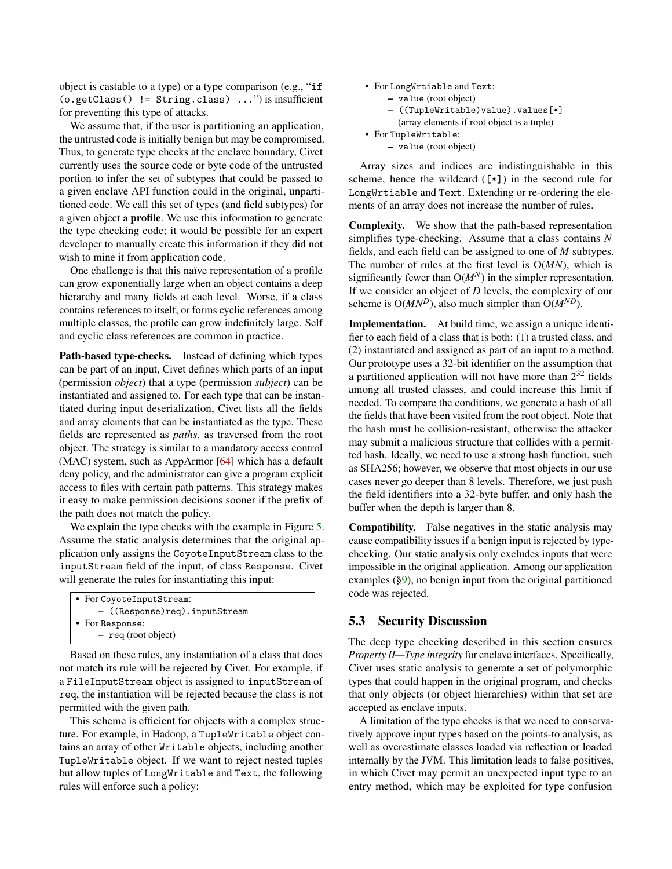object is castable to a type) or a type comparison (e.g., "if (o.getClass() != String.class) ...") is insufficient for preventing this type of attacks.

We assume that, if the user is partitioning an application, the untrusted code is initially benign but may be compromised. Thus, to generate type checks at the enclave boundary, Civet currently uses the source code or byte code of the untrusted portion to infer the set of subtypes that could be passed to a given enclave API function could in the original, unpartitioned code. We call this set of types (and field subtypes) for a given object a profile. We use this information to generate the type checking code; it would be possible for an expert developer to manually create this information if they did not wish to mine it from application code.

One challenge is that this naïve representation of a profile can grow exponentially large when an object contains a deep hierarchy and many fields at each level. Worse, if a class contains references to itself, or forms cyclic references among multiple classes, the profile can grow indefinitely large. Self and cyclic class references are common in practice.

Path-based type-checks. Instead of defining which types can be part of an input, Civet defines which parts of an input (permission *object*) that a type (permission *subject*) can be instantiated and assigned to. For each type that can be instantiated during input deserialization, Civet lists all the fields and array elements that can be instantiated as the type. These fields are represented as *paths*, as traversed from the root object. The strategy is similar to a mandatory access control (MAC) system, such as AppArmor [\[64\]](#page-17-8) which has a default deny policy, and the administrator can give a program explicit access to files with certain path patterns. This strategy makes it easy to make permission decisions sooner if the prefix of the path does not match the policy.

We explain the type checks with the example in Figure [5.](#page-6-2) Assume the static analysis determines that the original application only assigns the CoyoteInputStream class to the inputStream field of the input, of class Response. Civet will generate the rules for instantiating this input:

```
• For CoyoteInputStream:
     – ((Response)req).inputStream
• For Response:
     – req (root object)
```
Based on these rules, any instantiation of a class that does not match its rule will be rejected by Civet. For example, if a FileInputStream object is assigned to inputStream of req, the instantiation will be rejected because the class is not permitted with the given path.

This scheme is efficient for objects with a complex structure. For example, in Hadoop, a TupleWritable object contains an array of other Writable objects, including another TupleWritable object. If we want to reject nested tuples but allow tuples of LongWritable and Text, the following rules will enforce such a policy:

| • For LongWrtiable and Text:               |
|--------------------------------------------|
| $-$ value (root object)                    |
| - ((TupleWritable)value).values[*]         |
| (array elements if root object is a tuple) |
| • For TupleWritable:                       |
| - value (root object)                      |

Array sizes and indices are indistinguishable in this scheme, hence the wildcard  $([*])$  in the second rule for LongWrtiable and Text. Extending or re-ordering the elements of an array does not increase the number of rules.

Complexity. We show that the path-based representation simplifies type-checking. Assume that a class contains *N* fields, and each field can be assigned to one of *M* subtypes. The number of rules at the first level is O(*MN*), which is significantly fewer than  $O(M^N)$  in the simpler representation. If we consider an object of *D* levels, the complexity of our scheme is  $O(MN^D)$ , also much simpler than  $O(M^{ND})$ .

Implementation. At build time, we assign a unique identifier to each field of a class that is both: (1) a trusted class, and (2) instantiated and assigned as part of an input to a method. Our prototype uses a 32-bit identifier on the assumption that a partitioned application will not have more than  $2^{32}$  fields among all trusted classes, and could increase this limit if needed. To compare the conditions, we generate a hash of all the fields that have been visited from the root object. Note that the hash must be collision-resistant, otherwise the attacker may submit a malicious structure that collides with a permitted hash. Ideally, we need to use a strong hash function, such as SHA256; however, we observe that most objects in our use cases never go deeper than 8 levels. Therefore, we just push the field identifiers into a 32-byte buffer, and only hash the buffer when the depth is larger than 8.

Compatibility. False negatives in the static analysis may cause compatibility issues if a benign input is rejected by typechecking. Our static analysis only excludes inputs that were impossible in the original application. Among our application examples ([§9\)](#page-11-0), no benign input from the original partitioned code was rejected.

## 5.3 Security Discussion

The deep type checking described in this section ensures *Property II—Type integrity* for enclave interfaces. Specifically, Civet uses static analysis to generate a set of polymorphic types that could happen in the original program, and checks that only objects (or object hierarchies) within that set are accepted as enclave inputs.

A limitation of the type checks is that we need to conservatively approve input types based on the points-to analysis, as well as overestimate classes loaded via reflection or loaded internally by the JVM. This limitation leads to false positives, in which Civet may permit an unexpected input type to an entry method, which may be exploited for type confusion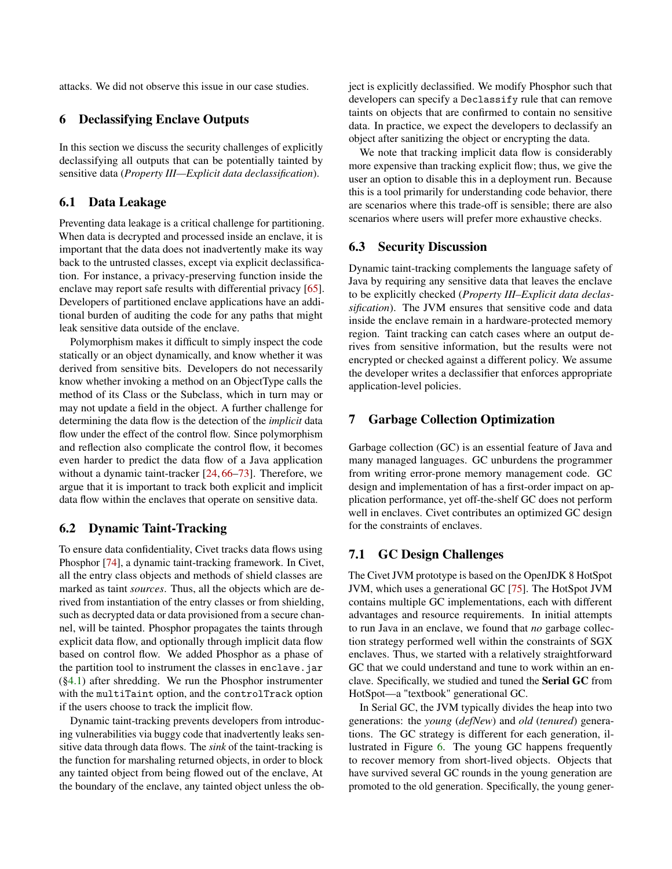<span id="page-8-0"></span>attacks. We did not observe this issue in our case studies.

### 6 Declassifying Enclave Outputs

In this section we discuss the security challenges of explicitly declassifying all outputs that can be potentially tainted by sensitive data (*Property III—Explicit data declassification*).

### 6.1 Data Leakage

Preventing data leakage is a critical challenge for partitioning. When data is decrypted and processed inside an enclave, it is important that the data does not inadvertently make its way back to the untrusted classes, except via explicit declassification. For instance, a privacy-preserving function inside the enclave may report safe results with differential privacy [\[65\]](#page-17-9). Developers of partitioned enclave applications have an additional burden of auditing the code for any paths that might leak sensitive data outside of the enclave.

Polymorphism makes it difficult to simply inspect the code statically or an object dynamically, and know whether it was derived from sensitive bits. Developers do not necessarily know whether invoking a method on an ObjectType calls the method of its Class or the Subclass, which in turn may or may not update a field in the object. A further challenge for determining the data flow is the detection of the *implicit* data flow under the effect of the control flow. Since polymorphism and reflection also complicate the control flow, it becomes even harder to predict the data flow of a Java application without a dynamic taint-tracker [\[24,](#page-15-16) [66](#page-17-10)[–73\]](#page-17-11). Therefore, we argue that it is important to track both explicit and implicit data flow within the enclaves that operate on sensitive data.

### <span id="page-8-1"></span>6.2 Dynamic Taint-Tracking

To ensure data confidentiality, Civet tracks data flows using Phosphor [\[74\]](#page-17-12), a dynamic taint-tracking framework. In Civet, all the entry class objects and methods of shield classes are marked as taint *sources*. Thus, all the objects which are derived from instantiation of the entry classes or from shielding, such as decrypted data or data provisioned from a secure channel, will be tainted. Phosphor propagates the taints through explicit data flow, and optionally through implicit data flow based on control flow. We added Phosphor as a phase of the partition tool to instrument the classes in enclave. jar ([§4.1\)](#page-3-1) after shredding. We run the Phosphor instrumenter with the multiTaint option, and the controlTrack option if the users choose to track the implicit flow.

Dynamic taint-tracking prevents developers from introducing vulnerabilities via buggy code that inadvertently leaks sensitive data through data flows. The *sink* of the taint-tracking is the function for marshaling returned objects, in order to block any tainted object from being flowed out of the enclave, At the boundary of the enclave, any tainted object unless the object is explicitly declassified. We modify Phosphor such that developers can specify a Declassify rule that can remove taints on objects that are confirmed to contain no sensitive data. In practice, we expect the developers to declassify an object after sanitizing the object or encrypting the data.

We note that tracking implicit data flow is considerably more expensive than tracking explicit flow; thus, we give the user an option to disable this in a deployment run. Because this is a tool primarily for understanding code behavior, there are scenarios where this trade-off is sensible; there are also scenarios where users will prefer more exhaustive checks.

## 6.3 Security Discussion

Dynamic taint-tracking complements the language safety of Java by requiring any sensitive data that leaves the enclave to be explicitly checked (*Property III–Explicit data declassification*). The JVM ensures that sensitive code and data inside the enclave remain in a hardware-protected memory region. Taint tracking can catch cases where an output derives from sensitive information, but the results were not encrypted or checked against a different policy. We assume the developer writes a declassifier that enforces appropriate application-level policies.

### 7 Garbage Collection Optimization

Garbage collection (GC) is an essential feature of Java and many managed languages. GC unburdens the programmer from writing error-prone memory management code. GC design and implementation of has a first-order impact on application performance, yet off-the-shelf GC does not perform well in enclaves. Civet contributes an optimized GC design for the constraints of enclaves.

## 7.1 GC Design Challenges

The Civet JVM prototype is based on the OpenJDK 8 HotSpot JVM, which uses a generational GC [\[75\]](#page-17-13). The HotSpot JVM contains multiple GC implementations, each with different advantages and resource requirements. In initial attempts to run Java in an enclave, we found that *no* garbage collection strategy performed well within the constraints of SGX enclaves. Thus, we started with a relatively straightforward GC that we could understand and tune to work within an enclave. Specifically, we studied and tuned the Serial GC from HotSpot—a "textbook" generational GC.

In Serial GC, the JVM typically divides the heap into two generations: the *young* (*defNew*) and *old* (*tenured*) generations. The GC strategy is different for each generation, illustrated in Figure [6.](#page-9-1) The young GC happens frequently to recover memory from short-lived objects. Objects that have survived several GC rounds in the young generation are promoted to the old generation. Specifically, the young gener-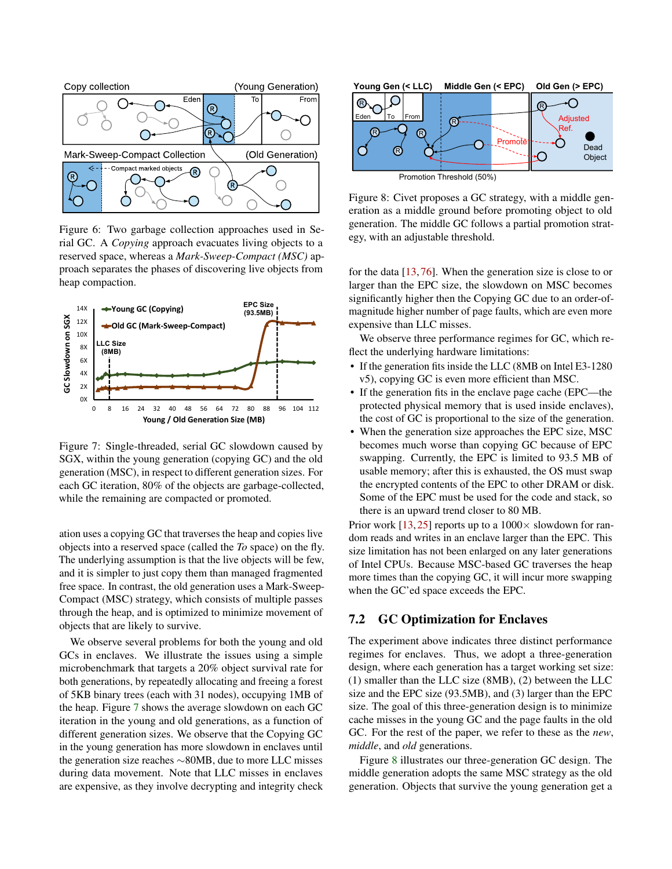

<span id="page-9-1"></span>Figure 6: Two garbage collection approaches used in Serial GC. A *Copying* approach evacuates living objects to a reserved space, whereas a *Mark-Sweep-Compact (MSC)* approach separates the phases of discovering live objects from heap compaction.



<span id="page-9-2"></span>Figure 7: Single-threaded, serial GC slowdown caused by SGX, within the young generation (copying GC) and the old generation (MSC), in respect to different generation sizes. For each GC iteration, 80% of the objects are garbage-collected, while the remaining are compacted or promoted.

ation uses a copying GC that traverses the heap and copies live objects into a reserved space (called the *To* space) on the fly. The underlying assumption is that the live objects will be few, and it is simpler to just copy them than managed fragmented free space. In contrast, the old generation uses a Mark-Sweep-Compact (MSC) strategy, which consists of multiple passes through the heap, and is optimized to minimize movement of objects that are likely to survive.

We observe several problems for both the young and old GCs in enclaves. We illustrate the issues using a simple microbenchmark that targets a 20% object survival rate for both generations, by repeatedly allocating and freeing a forest of 5KB binary trees (each with 31 nodes), occupying 1MB of the heap. Figure [7](#page-9-2) shows the average slowdown on each GC iteration in the young and old generations, as a function of different generation sizes. We observe that the Copying GC in the young generation has more slowdown in enclaves until the generation size reaches ∼80MB, due to more LLC misses during data movement. Note that LLC misses in enclaves are expensive, as they involve decrypting and integrity check



<span id="page-9-3"></span>Figure 8: Civet proposes a GC strategy, with a middle generation as a middle ground before promoting object to old generation. The middle GC follows a partial promotion strategy, with an adjustable threshold.

for the data [\[13,](#page-15-17) [76\]](#page-17-14). When the generation size is close to or larger than the EPC size, the slowdown on MSC becomes significantly higher then the Copying GC due to an order-ofmagnitude higher number of page faults, which are even more expensive than LLC misses.

We observe three performance regimes for GC, which reflect the underlying hardware limitations:

- If the generation fits inside the LLC (8MB on Intel E3-1280) v5), copying GC is even more efficient than MSC.
- If the generation fits in the enclave page cache (EPC—the protected physical memory that is used inside enclaves), the cost of GC is proportional to the size of the generation.
- When the generation size approaches the EPC size, MSC becomes much worse than copying GC because of EPC swapping. Currently, the EPC is limited to 93.5 MB of usable memory; after this is exhausted, the OS must swap the encrypted contents of the EPC to other DRAM or disk. Some of the EPC must be used for the code and stack, so there is an upward trend closer to 80 MB.

Prior work [\[13,](#page-15-17) [25\]](#page-15-18) reports up to a  $1000 \times$  slowdown for random reads and writes in an enclave larger than the EPC. This size limitation has not been enlarged on any later generations of Intel CPUs. Because MSC-based GC traverses the heap more times than the copying GC, it will incur more swapping when the GC'ed space exceeds the EPC.

## <span id="page-9-0"></span>7.2 GC Optimization for Enclaves

The experiment above indicates three distinct performance regimes for enclaves. Thus, we adopt a three-generation design, where each generation has a target working set size: (1) smaller than the LLC size (8MB), (2) between the LLC size and the EPC size (93.5MB), and (3) larger than the EPC size. The goal of this three-generation design is to minimize cache misses in the young GC and the page faults in the old GC. For the rest of the paper, we refer to these as the *new*, *middle*, and *old* generations.

Figure [8](#page-9-3) illustrates our three-generation GC design. The middle generation adopts the same MSC strategy as the old generation. Objects that survive the young generation get a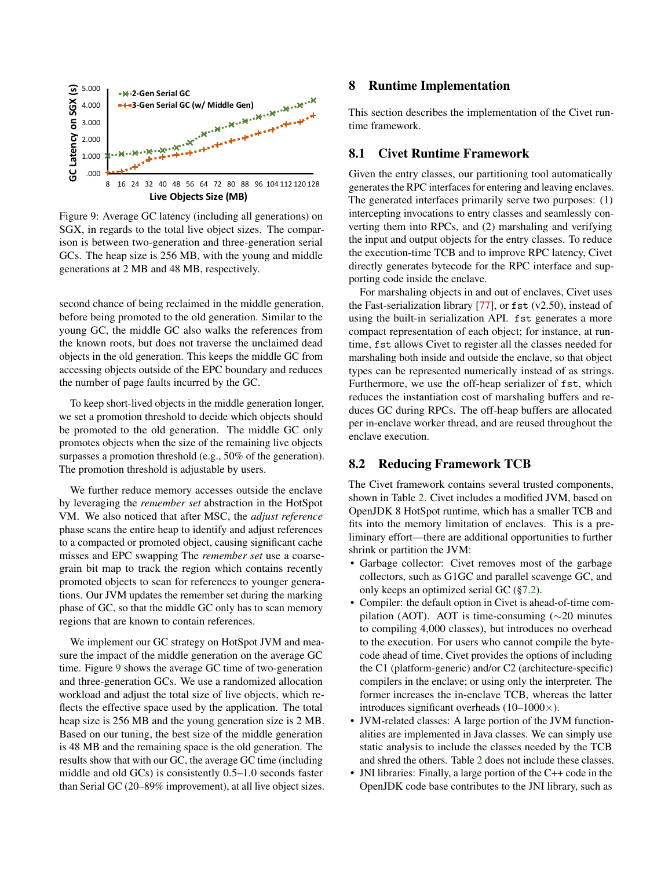

<span id="page-10-2"></span>Figure 9: Average GC latency (including all generations) on SGX, in regards to the total live object sizes. The comparison is between two-generation and three-generation serial GCs. The heap size is 256 MB, with the young and middle generations at 2 MB and 48 MB, respectively.

second chance of being reclaimed in the middle generation, before being promoted to the old generation. Similar to the young GC, the middle GC also walks the references from the known roots, but does not traverse the unclaimed dead objects in the old generation. This keeps the middle GC from accessing objects outside of the EPC boundary and reduces the number of page faults incurred by the GC.

To keep short-lived objects in the middle generation longer, we set a promotion threshold to decide which objects should be promoted to the old generation. The middle GC only promotes objects when the size of the remaining live objects surpasses a promotion threshold (e.g., 50% of the generation). The promotion threshold is adjustable by users.

We further reduce memory accesses outside the enclave by leveraging the *remember set* abstraction in the HotSpot VM. We also noticed that after MSC, the *adjust reference* phase scans the entire heap to identify and adjust references to a compacted or promoted object, causing significant cache misses and EPC swapping The *remember set* use a coarsegrain bit map to track the region which contains recently promoted objects to scan for references to younger generations. Our JVM updates the remember set during the marking phase of GC, so that the middle GC only has to scan memory regions that are known to contain references.

<span id="page-10-0"></span>We implement our GC strategy on HotSpot JVM and measure the impact of the middle generation on the average GC time. Figure [9](#page-10-2) shows the average GC time of two-generation and three-generation GCs. We use a randomized allocation workload and adjust the total size of live objects, which reflects the effective space used by the application. The total heap size is 256 MB and the young generation size is 2 MB. Based on our tuning, the best size of the middle generation is 48 MB and the remaining space is the old generation. The results show that with our GC, the average GC time (including middle and old GCs) is consistently 0.5–1.0 seconds faster than Serial GC (20–89% improvement), at all live object sizes.

## 8 Runtime Implementation

This section describes the implementation of the Civet runtime framework.

### 8.1 Civet Runtime Framework

Given the entry classes, our partitioning tool automatically generates the RPC interfaces for entering and leaving enclaves. The generated interfaces primarily serve two purposes: (1) intercepting invocations to entry classes and seamlessly converting them into RPCs, and (2) marshaling and verifying the input and output objects for the entry classes. To reduce the execution-time TCB and to improve RPC latency, Civet directly generates bytecode for the RPC interface and supporting code inside the enclave.

For marshaling objects in and out of enclaves, Civet uses the Fast-serialization library [\[77\]](#page-17-15), or  $f$ st (v2.50), instead of using the built-in serialization API. fst generates a more compact representation of each object; for instance, at runtime, fst allows Civet to register all the classes needed for marshaling both inside and outside the enclave, so that object types can be represented numerically instead of as strings. Furthermore, we use the off-heap serializer of fst, which reduces the instantiation cost of marshaling buffers and reduces GC during RPCs. The off-heap buffers are allocated per in-enclave worker thread, and are reused throughout the enclave execution.

## <span id="page-10-1"></span>8.2 Reducing Framework TCB

The Civet framework contains several trusted components, shown in Table [2.](#page-11-1) Civet includes a modified JVM, based on OpenJDK 8 HotSpot runtime, which has a smaller TCB and fits into the memory limitation of enclaves. This is a preliminary effort—there are additional opportunities to further shrink or partition the JVM:

- Garbage collector: Civet removes most of the garbage collectors, such as G1GC and parallel scavenge GC, and only keeps an optimized serial GC ([§7.2\)](#page-9-0).
- Compiler: the default option in Civet is ahead-of-time compilation (AOT). AOT is time-consuming (∼20 minutes to compiling 4,000 classes), but introduces no overhead to the execution. For users who cannot compile the bytecode ahead of time, Civet provides the options of including the C1 (platform-generic) and/or C2 (architecture-specific) compilers in the enclave; or using only the interpreter. The former increases the in-enclave TCB, whereas the latter introduces significant overheads  $(10-1000\times)$ .
- JVM-related classes: A large portion of the JVM functionalities are implemented in Java classes. We can simply use static analysis to include the classes needed by the TCB and shred the others. Table [2](#page-11-1) does not include these classes.
- JNI libraries: Finally, a large portion of the C++ code in the OpenJDK code base contributes to the JNI library, such as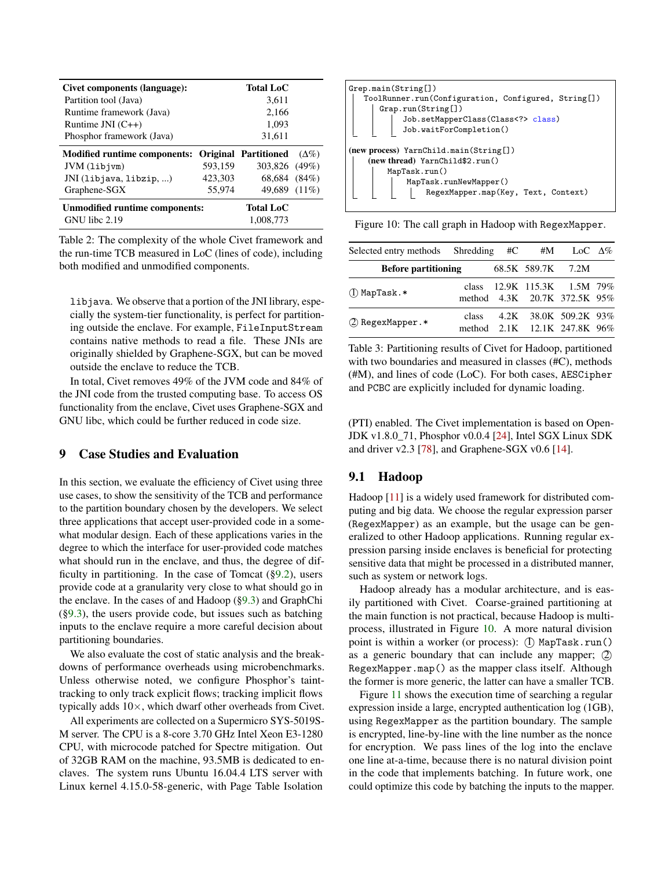| Civet components (language):          |         | <b>Total LoC</b>            |              |
|---------------------------------------|---------|-----------------------------|--------------|
| Partition tool (Java)                 |         | 3,611                       |              |
| Runtime framework (Java)              |         | 2,166                       |              |
| Runtime JNI $(C++)$                   |         | 1,093                       |              |
| Phosphor framework (Java)             |         | 31,611                      |              |
| <b>Modified runtime components:</b>   |         | <b>Original Partitioned</b> | $(\Delta\%)$ |
| $JVM$ $(libjvm)$                      | 593,159 | 303,826 (49%)               |              |
| JNI (libjava, libzip, )               | 423,303 | 68,684 (84%)                |              |
| Graphene-SGX                          | 55,974  | 49,689 (11%)                |              |
| <b>Unmodified runtime components:</b> |         | <b>Total LoC</b>            |              |
| $GNU$ libe 2.19                       |         | 1.008.773                   |              |

<span id="page-11-1"></span>Table 2: The complexity of the whole Civet framework and the run-time TCB measured in LoC (lines of code), including both modified and unmodified components.

libjava. We observe that a portion of the JNI library, especially the system-tier functionality, is perfect for partitioning outside the enclave. For example, FileInputStream contains native methods to read a file. These JNIs are originally shielded by Graphene-SGX, but can be moved outside the enclave to reduce the TCB.

In total, Civet removes 49% of the JVM code and 84% of the JNI code from the trusted computing base. To access OS functionality from the enclave, Civet uses Graphene-SGX and GNU libc, which could be further reduced in code size.

## <span id="page-11-0"></span>9 Case Studies and Evaluation

In this section, we evaluate the efficiency of Civet using three use cases, to show the sensitivity of the TCB and performance to the partition boundary chosen by the developers. We select three applications that accept user-provided code in a somewhat modular design. Each of these applications varies in the degree to which the interface for user-provided code matches what should run in the enclave, and thus, the degree of difficulty in partitioning. In the case of Tomcat  $(\S 9.2)$ , users provide code at a granularity very close to what should go in the enclave. In the cases of and Hadoop ([§9.3\)](#page-12-1) and GraphChi  $(\S9.3)$ , the users provide code, but issues such as batching inputs to the enclave require a more careful decision about partitioning boundaries.

We also evaluate the cost of static analysis and the breakdowns of performance overheads using microbenchmarks. Unless otherwise noted, we configure Phosphor's tainttracking to only track explicit flows; tracking implicit flows typically adds 10×, which dwarf other overheads from Civet.

All experiments are collected on a Supermicro SYS-5019S-M server. The CPU is a 8-core 3.70 GHz Intel Xeon E3-1280 CPU, with microcode patched for Spectre mitigation. Out of 32GB RAM on the machine, 93.5MB is dedicated to enclaves. The system runs Ubuntu 16.04.4 LTS server with Linux kernel 4.15.0-58-generic, with Page Table Isolation



<span id="page-11-2"></span>Figure 10: The call graph in Hadoop with RegexMapper.

| Selected entry methods Shredding #C |       |                   | #M LoC $\Delta\%$                                           |  |
|-------------------------------------|-------|-------------------|-------------------------------------------------------------|--|
| <b>Before partitioning</b>          |       | 68.5K 589.7K 7.2M |                                                             |  |
| $(1)$ MapTask.*                     |       |                   | class 12.9K 115.3K 1.5M 79%<br>method 4.3K 20.7K 372.5K 95% |  |
| (2) RegexMapper.*                   | class |                   | 4.2K 38.0K 509.2K 93%<br>method 2.1K 12.1K 247.8K 96%       |  |

Table 3: Partitioning results of Civet for Hadoop, partitioned with two boundaries and measured in classes (#C), methods (#M), and lines of code (LoC). For both cases, AESCipher and PCBC are explicitly included for dynamic loading.

(PTI) enabled. The Civet implementation is based on Open-JDK v1.8.0\_71, Phosphor v0.0.4 [\[24\]](#page-15-16), Intel SGX Linux SDK and driver  $v2.3$  [\[78\]](#page-17-16), and Graphene-SGX  $v0.6$  [\[14\]](#page-15-23).

## 9.1 Hadoop

Hadoop [\[11\]](#page-15-5) is a widely used framework for distributed computing and big data. We choose the regular expression parser (RegexMapper) as an example, but the usage can be generalized to other Hadoop applications. Running regular expression parsing inside enclaves is beneficial for protecting sensitive data that might be processed in a distributed manner, such as system or network logs.

Hadoop already has a modular architecture, and is easily partitioned with Civet. Coarse-grained partitioning at the main function is not practical, because Hadoop is multiprocess, illustrated in Figure [10.](#page-11-2) A more natural division point is within a worker (or process): (I) MapTask.run() as a generic boundary that can include any mapper; 2 RegexMapper.map() as the mapper class itself. Although the former is more generic, the latter can have a smaller TCB.

Figure [11](#page-12-2) shows the execution time of searching a regular expression inside a large, encrypted authentication log (1GB), using RegexMapper as the partition boundary. The sample is encrypted, line-by-line with the line number as the nonce for encryption. We pass lines of the log into the enclave one line at-a-time, because there is no natural division point in the code that implements batching. In future work, one could optimize this code by batching the inputs to the mapper.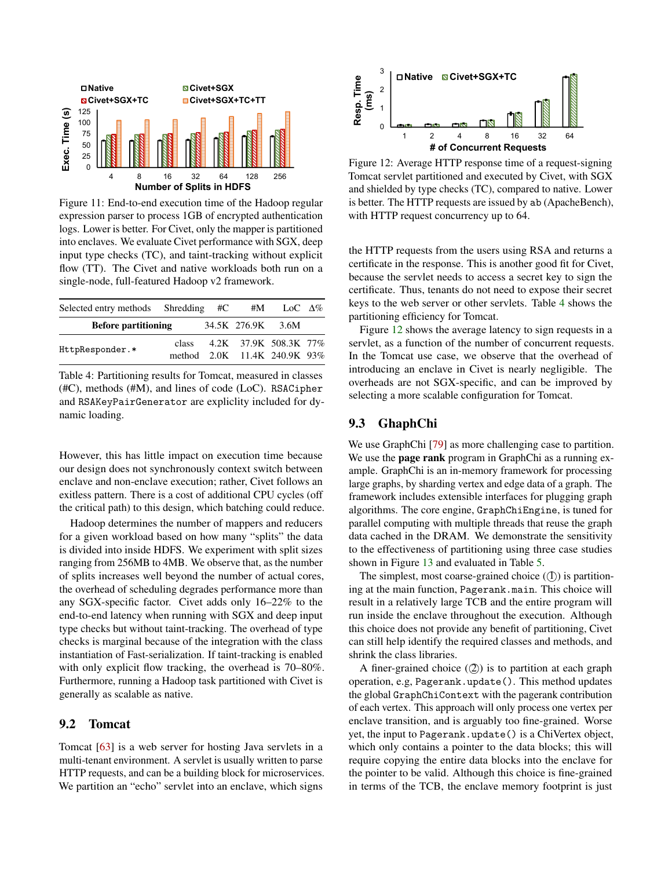

<span id="page-12-2"></span>Figure 11: End-to-end execution time of the Hadoop regular expression parser to process 1GB of encrypted authentication logs. Lower is better. For Civet, only the mapper is partitioned into enclaves. We evaluate Civet performance with SGX, deep input type checks (TC), and taint-tracking without explicit flow (TT). The Civet and native workloads both run on a single-node, full-featured Hadoop v2 framework.

| Selected entry methods Shredding #C |       | #M                | LoC $\Delta\%$               |  |
|-------------------------------------|-------|-------------------|------------------------------|--|
| <b>Before partitioning</b>          |       | 34.5K 276.9K 3.6M |                              |  |
|                                     | class |                   | 4.2K 37.9K 508.3K 77%        |  |
| HttpResponder.*                     |       |                   | method 2.0K 11.4K 240.9K 93% |  |

<span id="page-12-3"></span>Table 4: Partitioning results for Tomcat, measured in classes (#C), methods (#M), and lines of code (LoC). RSACipher and RSAKeyPairGenerator are expliclity included for dynamic loading.

However, this has little impact on execution time because our design does not synchronously context switch between enclave and non-enclave execution; rather, Civet follows an exitless pattern. There is a cost of additional CPU cycles (off the critical path) to this design, which batching could reduce.

Hadoop determines the number of mappers and reducers for a given workload based on how many "splits" the data is divided into inside HDFS. We experiment with split sizes ranging from 256MB to 4MB. We observe that, as the number of splits increases well beyond the number of actual cores, the overhead of scheduling degrades performance more than any SGX-specific factor. Civet adds only 16–22% to the end-to-end latency when running with SGX and deep input type checks but without taint-tracking. The overhead of type checks is marginal because of the integration with the class instantiation of Fast-serialization. If taint-tracking is enabled with only explicit flow tracking, the overhead is 70–80%. Furthermore, running a Hadoop task partitioned with Civet is generally as scalable as native.

## <span id="page-12-0"></span>9.2 Tomcat

Tomcat [\[63\]](#page-17-7) is a web server for hosting Java servlets in a multi-tenant environment. A servlet is usually written to parse HTTP requests, and can be a building block for microservices. We partition an "echo" servlet into an enclave, which signs



<span id="page-12-4"></span>Figure 12: Average HTTP response time of a request-signing Tomcat servlet partitioned and executed by Civet, with SGX and shielded by type checks (TC), compared to native. Lower is better. The HTTP requests are issued by ab (ApacheBench), with HTTP request concurrency up to 64.

the HTTP requests from the users using RSA and returns a certificate in the response. This is another good fit for Civet, because the servlet needs to access a secret key to sign the certificate. Thus, tenants do not need to expose their secret keys to the web server or other servlets. Table [4](#page-12-3) shows the partitioning efficiency for Tomcat.

Figure [12](#page-12-4) shows the average latency to sign requests in a servlet, as a function of the number of concurrent requests. In the Tomcat use case, we observe that the overhead of introducing an enclave in Civet is nearly negligible. The overheads are not SGX-specific, and can be improved by selecting a more scalable configuration for Tomcat.

### <span id="page-12-1"></span>9.3 GhaphChi

We use GraphChi [\[79\]](#page-17-17) as more challenging case to partition. We use the **page rank** program in GraphChi as a running example. GraphChi is an in-memory framework for processing large graphs, by sharding vertex and edge data of a graph. The framework includes extensible interfaces for plugging graph algorithms. The core engine, GraphChiEngine, is tuned for parallel computing with multiple threads that reuse the graph data cached in the DRAM. We demonstrate the sensitivity to the effectiveness of partitioning using three case studies shown in Figure [13](#page-13-1) and evaluated in Table [5.](#page-13-2)

The simplest, most coarse-grained choice  $(1)$  is partitioning at the main function, Pagerank.main. This choice will result in a relatively large TCB and the entire program will run inside the enclave throughout the execution. Although this choice does not provide any benefit of partitioning, Civet can still help identify the required classes and methods, and shrink the class libraries.

A finer-grained choice  $(2)$ ) is to partition at each graph operation, e.g, Pagerank.update(). This method updates the global GraphChiContext with the pagerank contribution of each vertex. This approach will only process one vertex per enclave transition, and is arguably too fine-grained. Worse yet, the input to Pagerank.update() is a ChiVertex object, which only contains a pointer to the data blocks; this will require copying the entire data blocks into the enclave for the pointer to be valid. Although this choice is fine-grained in terms of the TCB, the enclave memory footprint is just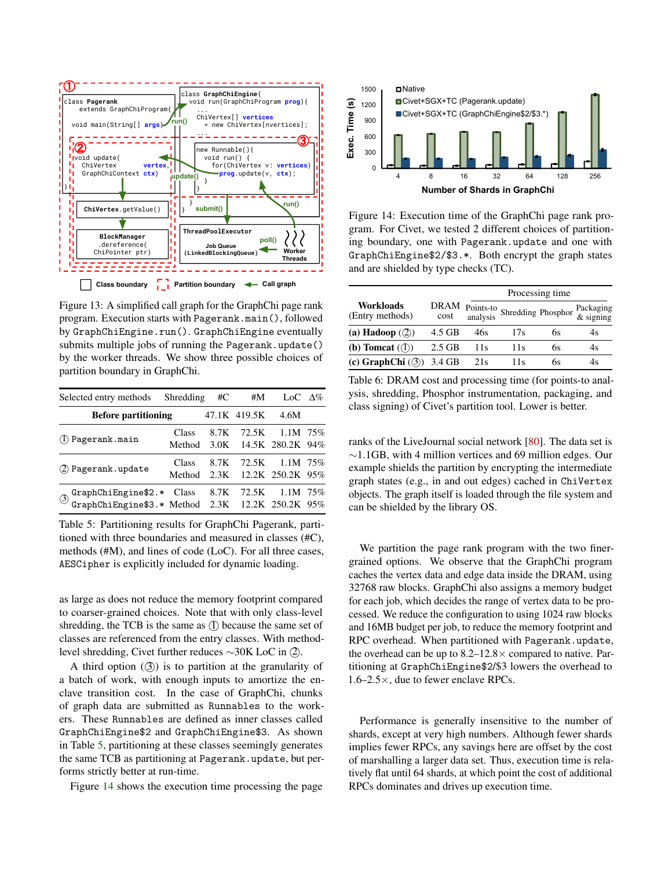

<span id="page-13-1"></span>submits multiple jobs of running the Pagerank.update() Figure 13: A simplified call graph for the GraphChi page rank program. Execution starts with Pagerank.main(), followed by GraphChiEngine.run(). GraphChiEngine eventually by the worker threads. We show three possible choices of partition boundary in GraphChi.

| Selected entry methods Shredding                                                                                                                                                                            |       | #C | #M           | LoC $\Delta\%$                                      |  |
|-------------------------------------------------------------------------------------------------------------------------------------------------------------------------------------------------------------|-------|----|--------------|-----------------------------------------------------|--|
| <b>Before partitioning</b>                                                                                                                                                                                  |       |    | 47.1K 419.5K | 4.6M                                                |  |
| (l) Pagerank.main                                                                                                                                                                                           | Class |    |              | 8.7K 72.5K 1.1M 75%<br>Method 3.0K 14.5K 280.2K 94% |  |
| (2) Pagerank.update                                                                                                                                                                                         | Class |    |              | 8.7K 72.5K 1.1M 75%<br>Method 2.3K 12.2K 250.2K 95% |  |
| $\text{\textcircled{3} GraphChiEngine$2.*} \begin{tabular}{lcccccc} GraphChiEngine$2.*} & Class & 8.7K & 72.5K & 1.1M & 75\% \\ GraphChiEngine$3.*$ Method & 2.3K & 12.2K & 250.2K & 95\% \\ \end{tabular}$ |       |    |              |                                                     |  |

<span id="page-13-2"></span>Table 5: Partitioning results for GraphChi Pagerank, partitioned with three boundaries and measured in classes (#C), methods (#M), and lines of code (LoC). For all three cases, AESCipher is explicitly included for dynamic loading.

as large as does not reduce the memory footprint compared to coarser-grained choices. Note that with only class-level shredding, the TCB is the same as  $(1)$  because the same set of classes are referenced from the entry classes. With methodlevel shredding, Civet further reduces ~30K LoC in ②.

A third option  $(3)$  is to partition at the granularity of a batch of work, with enough inputs to amortize the enclave transition cost. In the case of GraphChi, chunks of graph data are submitted as Runnables to the workers. These Runnables are defined as inner classes called GraphChiEngine\$2 and GraphChiEngine\$3. As shown in Table [5,](#page-13-2) partitioning at these classes seemingly generates the same TCB as partitioning at Pagerank.update, but performs strictly better at run-time.

Figure [14](#page-13-3) shows the execution time processing the page



<span id="page-13-3"></span>Figure 14: Execution time of the GraphChi page rank program. For Civet, we tested 2 different choices of partitioning boundary, one with Pagerank.update and one with GraphChiEngine\$2/\$3.\*. Both encrypt the graph states and are shielded by type checks (TC).

|                                         |          |                 | Processing time                   |    |                        |  |  |  |
|-----------------------------------------|----------|-----------------|-----------------------------------|----|------------------------|--|--|--|
| Workloads<br>(Entry methods)            |          |                 | DRAM Points-to Shredding Phosphor |    | Packaging<br>& signing |  |  |  |
| (a) Hadoop $(\textcircled{2})$          | 4.5 GB   | 46s             | 17s                               | 6s | 4s                     |  |  |  |
| (b) Tomcat $(\textsf{I})$               | $2.5$ GB | 11s             | 11s                               | 6s | 4s                     |  |  |  |
| (c) GraphChi $(\textcircled{3})$ 3.4 GB |          | 21 <sub>s</sub> | 11s                               | 6s | 4s                     |  |  |  |

<span id="page-13-4"></span>Table 6: DRAM cost and processing time (for points-to analysis, shredding, Phosphor instrumentation, packaging, and class signing) of Civet's partition tool. Lower is better.

ranks of the LiveJournal social network [\[80\]](#page-17-18). The data set is ∼1.1GB, with 4 million vertices and 69 million edges. Our example shields the partition by encrypting the intermediate graph states (e.g., in and out edges) cached in ChiVertex objects. The graph itself is loaded through the file system and can be shielded by the library OS.

We partition the page rank program with the two finergrained options. We observe that the GraphChi program caches the vertex data and edge data inside the DRAM, using 32768 raw blocks. GraphChi also assigns a memory budget for each job, which decides the range of vertex data to be processed. We reduce the configuration to using 1024 raw blocks and 16MB budget per job, to reduce the memory footprint and RPC overhead. When partitioned with Pagerank.update, the overhead can be up to  $8.2-12.8 \times$  compared to native. Partitioning at GraphChiEngine\$2/\$3 lowers the overhead to  $1.6-2.5\times$ , due to fewer enclave RPCs.

<span id="page-13-0"></span>Performance is generally insensitive to the number of shards, except at very high numbers. Although fewer shards implies fewer RPCs, any savings here are offset by the cost of marshalling a larger data set. Thus, execution time is relatively flat until 64 shards, at which point the cost of additional RPCs dominates and drives up execution time.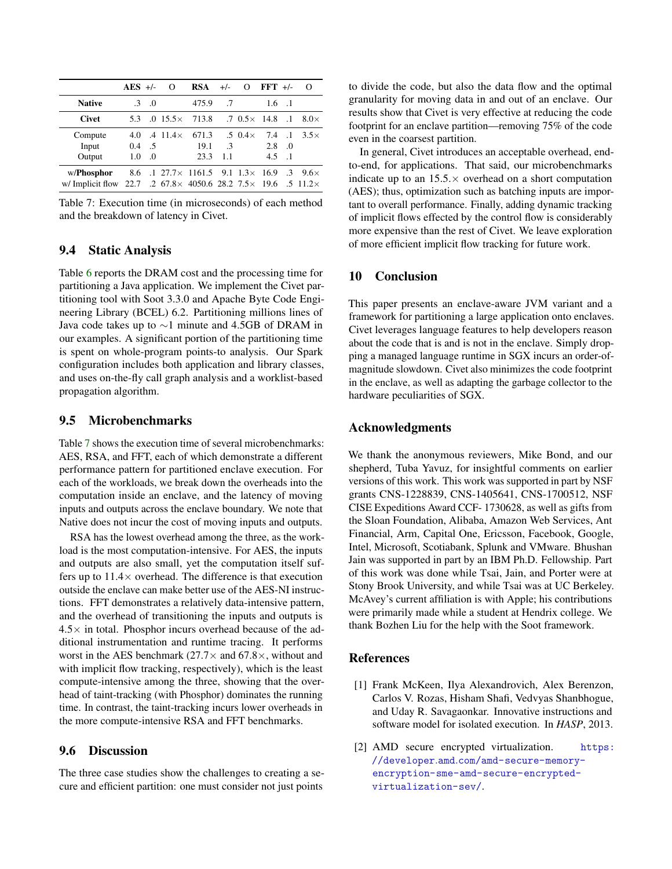|                                                                                       | $AES$ +/-     |                   | Ω                         | RSA                                             | $+/-$     |                        | $O$ FFT $+/-$ |                | O           |
|---------------------------------------------------------------------------------------|---------------|-------------------|---------------------------|-------------------------------------------------|-----------|------------------------|---------------|----------------|-------------|
| <b>Native</b>                                                                         |               | $\cdot 3 \cdot 0$ |                           | 475.9                                           | .7        |                        | 1.6           | $\overline{1}$ |             |
| <b>Civet</b>                                                                          | 5.3           |                   | $.015.5\times$            | 713.8                                           |           | $.7 \t0.5 \times 14.8$ |               | $\ldots$ 1     | $8.0\times$ |
| Compute                                                                               | 4.0           |                   | $.4 \text{ } 11.4 \times$ | 671.3                                           |           | $.5 \ \ 0.4 \times$    | 7.4           | $\cdot$ .1     | $3.5\times$ |
| Input                                                                                 | 0.4           | .5                |                           | 19.1                                            | $\cdot$ 3 |                        | 2.8           | $\Omega$       |             |
| Output                                                                                | $1.0^{\circ}$ | $\Omega$          |                           | 23.3                                            | 1.1       |                        | 4.5           | $\overline{1}$ |             |
| w/ <b>Phosphor</b>                                                                    | 8.6           |                   |                           | $.1$ 27.7 $\times$ 1161.5 9.1 1.3 $\times$ 16.9 |           |                        |               | $\mathcal{A}$  | $9.6\times$ |
| w/ Implicit flow 22.7 .2 $67.8 \times 4050.6$ 28.2 $7.5 \times 19.6$ .5 $11.2 \times$ |               |                   |                           |                                                 |           |                        |               |                |             |

<span id="page-14-1"></span>Table 7: Execution time (in microseconds) of each method and the breakdown of latency in Civet.

## 9.4 Static Analysis

Table [6](#page-13-4) reports the DRAM cost and the processing time for partitioning a Java application. We implement the Civet partitioning tool with Soot 3.3.0 and Apache Byte Code Engineering Library (BCEL) 6.2. Partitioning millions lines of Java code takes up to ∼1 minute and 4.5GB of DRAM in our examples. A significant portion of the partitioning time is spent on whole-program points-to analysis. Our Spark configuration includes both application and library classes, and uses on-the-fly call graph analysis and a worklist-based propagation algorithm.

### 9.5 Microbenchmarks

Table [7](#page-14-1) shows the execution time of several microbenchmarks: AES, RSA, and FFT, each of which demonstrate a different performance pattern for partitioned enclave execution. For each of the workloads, we break down the overheads into the computation inside an enclave, and the latency of moving inputs and outputs across the enclave boundary. We note that Native does not incur the cost of moving inputs and outputs.

RSA has the lowest overhead among the three, as the workload is the most computation-intensive. For AES, the inputs and outputs are also small, yet the computation itself suffers up to  $11.4 \times$  overhead. The difference is that execution outside the enclave can make better use of the AES-NI instructions. FFT demonstrates a relatively data-intensive pattern, and the overhead of transitioning the inputs and outputs is  $4.5\times$  in total. Phosphor incurs overhead because of the additional instrumentation and runtime tracing. It performs worst in the AES benchmark (27.7 $\times$  and 67.8 $\times$ , without and with implicit flow tracking, respectively), which is the least compute-intensive among the three, showing that the overhead of taint-tracking (with Phosphor) dominates the running time. In contrast, the taint-tracking incurs lower overheads in the more compute-intensive RSA and FFT benchmarks.

### 9.6 Discussion

The three case studies show the challenges to creating a secure and efficient partition: one must consider not just points

to divide the code, but also the data flow and the optimal granularity for moving data in and out of an enclave. Our results show that Civet is very effective at reducing the code footprint for an enclave partition—removing 75% of the code even in the coarsest partition.

In general, Civet introduces an acceptable overhead, endto-end, for applications. That said, our microbenchmarks indicate up to an  $15.5 \times$  overhead on a short computation (AES); thus, optimization such as batching inputs are important to overall performance. Finally, adding dynamic tracking of implicit flows effected by the control flow is considerably more expensive than the rest of Civet. We leave exploration of more efficient implicit flow tracking for future work.

#### 10 Conclusion

This paper presents an enclave-aware JVM variant and a framework for partitioning a large application onto enclaves. Civet leverages language features to help developers reason about the code that is and is not in the enclave. Simply dropping a managed language runtime in SGX incurs an order-ofmagnitude slowdown. Civet also minimizes the code footprint in the enclave, as well as adapting the garbage collector to the hardware peculiarities of SGX.

### Acknowledgments

We thank the anonymous reviewers, Mike Bond, and our shepherd, Tuba Yavuz, for insightful comments on earlier versions of this work. This work was supported in part by NSF grants CNS-1228839, CNS-1405641, CNS-1700512, NSF CISE Expeditions Award CCF- 1730628, as well as gifts from the Sloan Foundation, Alibaba, Amazon Web Services, Ant Financial, Arm, Capital One, Ericsson, Facebook, Google, Intel, Microsoft, Scotiabank, Splunk and VMware. Bhushan Jain was supported in part by an IBM Ph.D. Fellowship. Part of this work was done while Tsai, Jain, and Porter were at Stony Brook University, and while Tsai was at UC Berkeley. McAvey's current affiliation is with Apple; his contributions were primarily made while a student at Hendrix college. We thank Bozhen Liu for the help with the Soot framework.

#### References

- <span id="page-14-0"></span>[1] Frank McKeen, Ilya Alexandrovich, Alex Berenzon, Carlos V. Rozas, Hisham Shafi, Vedvyas Shanbhogue, and Uday R. Savagaonkar. Innovative instructions and software model for isolated execution. In *HASP*, 2013.
- [2] AMD secure encrypted virtualization. [https:](https://developer.amd.com/amd-secure-memory-encryption-sme-amd-secure-encrypted-virtualization-sev/) //developer.amd.[com/amd-secure-memory](https://developer.amd.com/amd-secure-memory-encryption-sme-amd-secure-encrypted-virtualization-sev/)[encryption-sme-amd-secure-encrypted](https://developer.amd.com/amd-secure-memory-encryption-sme-amd-secure-encrypted-virtualization-sev/)[virtualization-sev/](https://developer.amd.com/amd-secure-memory-encryption-sme-amd-secure-encrypted-virtualization-sev/).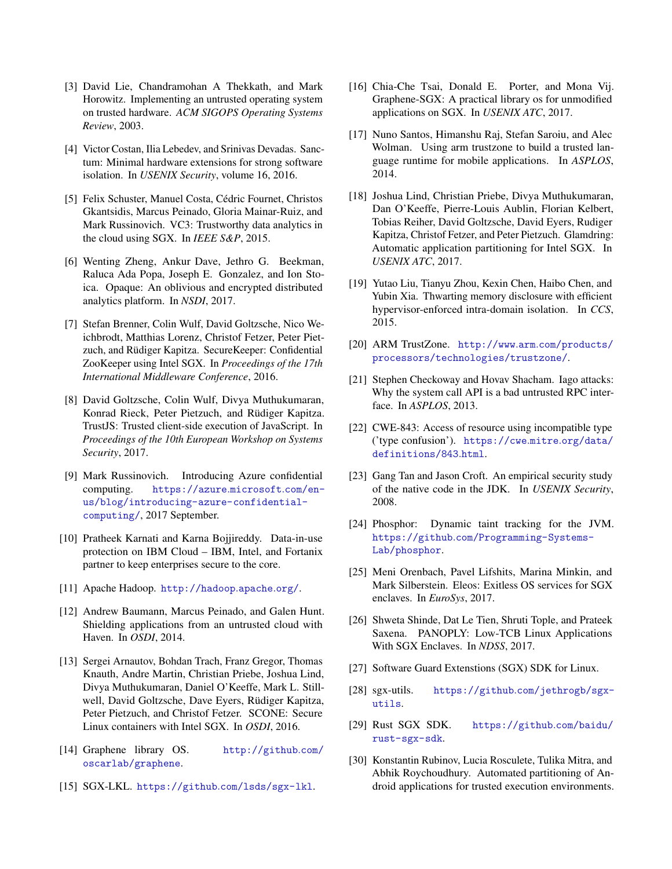- [3] David Lie, Chandramohan A Thekkath, and Mark Horowitz. Implementing an untrusted operating system on trusted hardware. *ACM SIGOPS Operating Systems Review*, 2003.
- <span id="page-15-0"></span>[4] Victor Costan, Ilia Lebedev, and Srinivas Devadas. Sanctum: Minimal hardware extensions for strong software isolation. In *USENIX Security*, volume 16, 2016.
- <span id="page-15-1"></span>[5] Felix Schuster, Manuel Costa, Cédric Fournet, Christos Gkantsidis, Marcus Peinado, Gloria Mainar-Ruiz, and Mark Russinovich. VC3: Trustworthy data analytics in the cloud using SGX. In *IEEE S&P*, 2015.
- [6] Wenting Zheng, Ankur Dave, Jethro G. Beekman, Raluca Ada Popa, Joseph E. Gonzalez, and Ion Stoica. Opaque: An oblivious and encrypted distributed analytics platform. In *NSDI*, 2017.
- [7] Stefan Brenner, Colin Wulf, David Goltzsche, Nico Weichbrodt, Matthias Lorenz, Christof Fetzer, Peter Pietzuch, and Rüdiger Kapitza. SecureKeeper: Confidential ZooKeeper using Intel SGX. In *Proceedings of the 17th International Middleware Conference*, 2016.
- <span id="page-15-2"></span>[8] David Goltzsche, Colin Wulf, Divya Muthukumaran, Konrad Rieck, Peter Pietzuch, and Rüdiger Kapitza. TrustJS: Trusted client-side execution of JavaScript. In *Proceedings of the 10th European Workshop on Systems Security*, 2017.
- <span id="page-15-3"></span>[9] Mark Russinovich. Introducing Azure confidential computing. [https://azure](https://azure.microsoft.com/en-us/blog/introducing-azure-confidential-computing/).microsoft.com/en[us/blog/introducing-azure-confidential](https://azure.microsoft.com/en-us/blog/introducing-azure-confidential-computing/)[computing/](https://azure.microsoft.com/en-us/blog/introducing-azure-confidential-computing/), 2017 September.
- <span id="page-15-4"></span>[10] Pratheek Karnati and Karna Bojjireddy. Data-in-use protection on IBM Cloud – IBM, Intel, and Fortanix partner to keep enterprises secure to the core.
- <span id="page-15-5"></span>[11] Apache Hadoop. [http://hadoop](http://hadoop.apache.org/).apache.org/.
- <span id="page-15-7"></span>[12] Andrew Baumann, Marcus Peinado, and Galen Hunt. Shielding applications from an untrusted cloud with Haven. In *OSDI*, 2014.
- <span id="page-15-17"></span>[13] Sergei Arnautov, Bohdan Trach, Franz Gregor, Thomas Knauth, Andre Martin, Christian Priebe, Joshua Lind, Divya Muthukumaran, Daniel O'Keeffe, Mark L. Stillwell, David Goltzsche, Dave Eyers, Rüdiger Kapitza, Peter Pietzuch, and Christof Fetzer. SCONE: Secure Linux containers with Intel SGX. In *OSDI*, 2016.
- <span id="page-15-23"></span>[14] Graphene library OS. [http://github](http://github.com/oscarlab/graphene).com/ [oscarlab/graphene](http://github.com/oscarlab/graphene).
- <span id="page-15-8"></span>[15] SGX-LKL. https://github.[com/lsds/sgx-lkl](https://github.com/lsds/sgx-lkl).
- <span id="page-15-6"></span>[16] Chia-Che Tsai, Donald E. Porter, and Mona Vij. Graphene-SGX: A practical library os for unmodified applications on SGX. In *USENIX ATC*, 2017.
- <span id="page-15-9"></span>[17] Nuno Santos, Himanshu Raj, Stefan Saroiu, and Alec Wolman. Using arm trustzone to build a trusted language runtime for mobile applications. In *ASPLOS*, 2014.
- <span id="page-15-13"></span>[18] Joshua Lind, Christian Priebe, Divya Muthukumaran, Dan O'Keeffe, Pierre-Louis Aublin, Florian Kelbert, Tobias Reiher, David Goltzsche, David Eyers, Rudiger Kapitza, Christof Fetzer, and Peter Pietzuch. Glamdring: Automatic application partitioning for Intel SGX. In *USENIX ATC*, 2017.
- <span id="page-15-10"></span>[19] Yutao Liu, Tianyu Zhou, Kexin Chen, Haibo Chen, and Yubin Xia. Thwarting memory disclosure with efficient hypervisor-enforced intra-domain isolation. In *CCS*, 2015.
- <span id="page-15-11"></span>[20] ARM TrustZone. http://www.arm.[com/products/](http://www.arm.com/products/processors/technologies/trustzone/) [processors/technologies/trustzone/](http://www.arm.com/products/processors/technologies/trustzone/).
- <span id="page-15-12"></span>[21] Stephen Checkoway and Hovav Shacham. Iago attacks: Why the system call API is a bad untrusted RPC interface. In *ASPLOS*, 2013.
- <span id="page-15-14"></span>[22] CWE-843: Access of resource using incompatible type ('type confusion'). [https://cwe](https://cwe.mitre.org/data/definitions/843.html).mitre.org/data/ [definitions/843](https://cwe.mitre.org/data/definitions/843.html).html.
- <span id="page-15-15"></span>[23] Gang Tan and Jason Croft. An empirical security study of the native code in the JDK. In *USENIX Security*, 2008.
- <span id="page-15-16"></span>[24] Phosphor: Dynamic taint tracking for the JVM. https://github.[com/Programming-Systems-](https://github.com/Programming-Systems-Lab/phosphor)[Lab/phosphor](https://github.com/Programming-Systems-Lab/phosphor).
- <span id="page-15-18"></span>[25] Meni Orenbach, Pavel Lifshits, Marina Minkin, and Mark Silberstein. Eleos: Exitless OS services for SGX enclaves. In *EuroSys*, 2017.
- <span id="page-15-19"></span>[26] Shweta Shinde, Dat Le Tien, Shruti Tople, and Prateek Saxena. PANOPLY: Low-TCB Linux Applications With SGX Enclaves. In *NDSS*, 2017.
- <span id="page-15-20"></span>[27] Software Guard Extenstions (SGX) SDK for Linux.
- [28] sgx-utils. https://github.[com/jethrogb/sgx](https://github.com/jethrogb/sgx-utils)[utils](https://github.com/jethrogb/sgx-utils).
- <span id="page-15-21"></span>[29] Rust SGX SDK. [https://github](https://github.com/baidu/rust-sgx-sdk).com/baidu/ [rust-sgx-sdk](https://github.com/baidu/rust-sgx-sdk).
- <span id="page-15-22"></span>[30] Konstantin Rubinov, Lucia Rosculete, Tulika Mitra, and Abhik Roychoudhury. Automated partitioning of Android applications for trusted execution environments.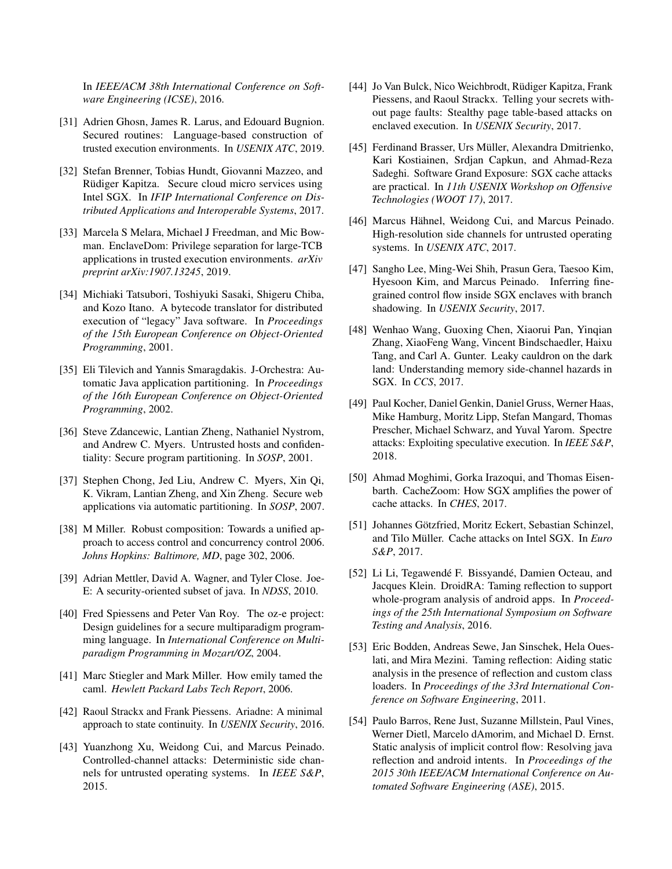In *IEEE/ACM 38th International Conference on Software Engineering (ICSE)*, 2016.

- <span id="page-16-0"></span>[31] Adrien Ghosn, James R. Larus, and Edouard Bugnion. Secured routines: Language-based construction of trusted execution environments. In *USENIX ATC*, 2019.
- <span id="page-16-1"></span>[32] Stefan Brenner, Tobias Hundt, Giovanni Mazzeo, and Rüdiger Kapitza. Secure cloud micro services using Intel SGX. In *IFIP International Conference on Distributed Applications and Interoperable Systems*, 2017.
- <span id="page-16-2"></span>[33] Marcela S Melara, Michael J Freedman, and Mic Bowman. EnclaveDom: Privilege separation for large-TCB applications in trusted execution environments. *arXiv preprint arXiv:1907.13245*, 2019.
- <span id="page-16-3"></span>[34] Michiaki Tatsubori, Toshiyuki Sasaki, Shigeru Chiba, and Kozo Itano. A bytecode translator for distributed execution of "legacy" Java software. In *Proceedings of the 15th European Conference on Object-Oriented Programming*, 2001.
- <span id="page-16-4"></span>[35] Eli Tilevich and Yannis Smaragdakis. J-Orchestra: Automatic Java application partitioning. In *Proceedings of the 16th European Conference on Object-Oriented Programming*, 2002.
- <span id="page-16-5"></span>[36] Steve Zdancewic, Lantian Zheng, Nathaniel Nystrom, and Andrew C. Myers. Untrusted hosts and confidentiality: Secure program partitioning. In *SOSP*, 2001.
- <span id="page-16-6"></span>[37] Stephen Chong, Jed Liu, Andrew C. Myers, Xin Qi, K. Vikram, Lantian Zheng, and Xin Zheng. Secure web applications via automatic partitioning. In *SOSP*, 2007.
- <span id="page-16-7"></span>[38] M Miller. Robust composition: Towards a unified approach to access control and concurrency control 2006. *Johns Hopkins: Baltimore, MD*, page 302, 2006.
- <span id="page-16-8"></span>[39] Adrian Mettler, David A. Wagner, and Tyler Close. Joe-E: A security-oriented subset of java. In *NDSS*, 2010.
- <span id="page-16-9"></span>[40] Fred Spiessens and Peter Van Roy. The oz-e project: Design guidelines for a secure multiparadigm programming language. In *International Conference on Multiparadigm Programming in Mozart/OZ*, 2004.
- <span id="page-16-10"></span>[41] Marc Stiegler and Mark Miller. How emily tamed the caml. *Hewlett Packard Labs Tech Report*, 2006.
- <span id="page-16-11"></span>[42] Raoul Strackx and Frank Piessens. Ariadne: A minimal approach to state continuity. In *USENIX Security*, 2016.
- <span id="page-16-12"></span>[43] Yuanzhong Xu, Weidong Cui, and Marcus Peinado. Controlled-channel attacks: Deterministic side channels for untrusted operating systems. In *IEEE S&P*, 2015.
- <span id="page-16-13"></span>[44] Jo Van Bulck, Nico Weichbrodt, Rüdiger Kapitza, Frank Piessens, and Raoul Strackx. Telling your secrets without page faults: Stealthy page table-based attacks on enclaved execution. In *USENIX Security*, 2017.
- <span id="page-16-15"></span>[45] Ferdinand Brasser, Urs Müller, Alexandra Dmitrienko, Kari Kostiainen, Srdjan Capkun, and Ahmad-Reza Sadeghi. Software Grand Exposure: SGX cache attacks are practical. In *11th USENIX Workshop on Offensive Technologies (WOOT 17)*, 2017.
- [46] Marcus Hähnel, Weidong Cui, and Marcus Peinado. High-resolution side channels for untrusted operating systems. In *USENIX ATC*, 2017.
- [47] Sangho Lee, Ming-Wei Shih, Prasun Gera, Taesoo Kim, Hyesoon Kim, and Marcus Peinado. Inferring finegrained control flow inside SGX enclaves with branch shadowing. In *USENIX Security*, 2017.
- [48] Wenhao Wang, Guoxing Chen, Xiaorui Pan, Yinqian Zhang, XiaoFeng Wang, Vincent Bindschaedler, Haixu Tang, and Carl A. Gunter. Leaky cauldron on the dark land: Understanding memory side-channel hazards in SGX. In *CCS*, 2017.
- <span id="page-16-14"></span>[49] Paul Kocher, Daniel Genkin, Daniel Gruss, Werner Haas, Mike Hamburg, Moritz Lipp, Stefan Mangard, Thomas Prescher, Michael Schwarz, and Yuval Yarom. Spectre attacks: Exploiting speculative execution. In *IEEE S&P*, 2018.
- <span id="page-16-16"></span>[50] Ahmad Moghimi, Gorka Irazoqui, and Thomas Eisenbarth. CacheZoom: How SGX amplifies the power of cache attacks. In *CHES*, 2017.
- <span id="page-16-17"></span>[51] Johannes Götzfried, Moritz Eckert, Sebastian Schinzel, and Tilo Müller. Cache attacks on Intel SGX. In *Euro S&P*, 2017.
- <span id="page-16-18"></span>[52] Li Li, Tegawendé F. Bissyandé, Damien Octeau, and Jacques Klein. DroidRA: Taming reflection to support whole-program analysis of android apps. In *Proceedings of the 25th International Symposium on Software Testing and Analysis*, 2016.
- [53] Eric Bodden, Andreas Sewe, Jan Sinschek, Hela Oueslati, and Mira Mezini. Taming reflection: Aiding static analysis in the presence of reflection and custom class loaders. In *Proceedings of the 33rd International Conference on Software Engineering*, 2011.
- <span id="page-16-19"></span>[54] Paulo Barros, Rene Just, Suzanne Millstein, Paul Vines, Werner Dietl, Marcelo dAmorim, and Michael D. Ernst. Static analysis of implicit control flow: Resolving java reflection and android intents. In *Proceedings of the 2015 30th IEEE/ACM International Conference on Automated Software Engineering (ASE)*, 2015.